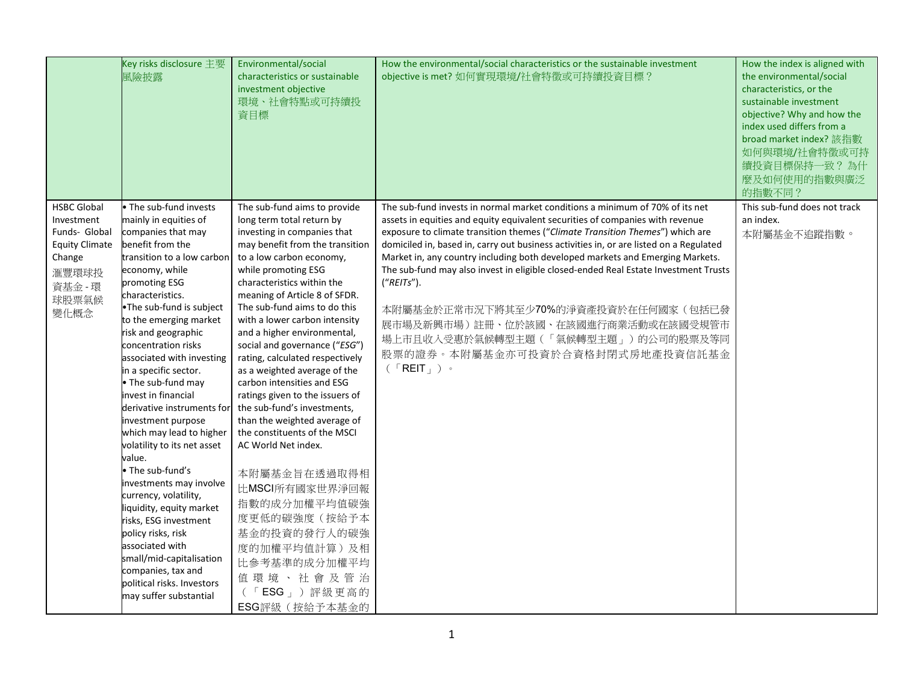|                                                                                                                           | Key risks disclosure 主要<br>風險披露                                                                                                                                                                                                                                                                                                                                                                                                                                                                                                                                                                                                                                                                                                                                                                | Environmental/social<br>characteristics or sustainable<br>investment objective<br>環境、社會特點或可持續投<br>資目標                                                                                                                                                                                                                                                                                                                                                                                                                                                                                                                                                                                                                                                                                                   | How the environmental/social characteristics or the sustainable investment<br>objective is met? 如何實現環境/社會特徵或可持續投資目標?                                                                                                                                                                                                                                                                                                                                                                                                                                                                                                                                                                                                                                                                | How the index is aligned with<br>the environmental/social<br>characteristics, or the<br>sustainable investment<br>objective? Why and how the<br>index used differs from a<br>broad market index? 該指數<br>如何與環境/社會特徵或可持<br>續投資目標保持一致?為什<br>麼及如何使用的指數與廣泛<br>的指數不同? |
|---------------------------------------------------------------------------------------------------------------------------|------------------------------------------------------------------------------------------------------------------------------------------------------------------------------------------------------------------------------------------------------------------------------------------------------------------------------------------------------------------------------------------------------------------------------------------------------------------------------------------------------------------------------------------------------------------------------------------------------------------------------------------------------------------------------------------------------------------------------------------------------------------------------------------------|---------------------------------------------------------------------------------------------------------------------------------------------------------------------------------------------------------------------------------------------------------------------------------------------------------------------------------------------------------------------------------------------------------------------------------------------------------------------------------------------------------------------------------------------------------------------------------------------------------------------------------------------------------------------------------------------------------------------------------------------------------------------------------------------------------|-------------------------------------------------------------------------------------------------------------------------------------------------------------------------------------------------------------------------------------------------------------------------------------------------------------------------------------------------------------------------------------------------------------------------------------------------------------------------------------------------------------------------------------------------------------------------------------------------------------------------------------------------------------------------------------------------------------------------------------------------------------------------------------|-----------------------------------------------------------------------------------------------------------------------------------------------------------------------------------------------------------------------------------------------------------------|
| <b>HSBC Global</b><br>Investment<br>Funds- Global<br><b>Equity Climate</b><br>Change<br>滙豐環球投<br>資基金 - 環<br>球股票氣候<br>變化概念 | . The sub-fund invests<br>mainly in equities of<br>companies that may<br>benefit from the<br>transition to a low carbon<br>economy, while<br>promoting ESG<br>characteristics.<br>•The sub-fund is subject<br>to the emerging market<br>risk and geographic<br>concentration risks<br>associated with investing<br>in a specific sector.<br>• The sub-fund may<br>invest in financial<br>derivative instruments for<br>investment purpose<br>which may lead to higher<br>volatility to its net asset<br>value.<br>• The sub-fund's<br>investments may involve<br>currency, volatility,<br>liquidity, equity market<br>risks, ESG investment<br>policy risks, risk<br>associated with<br>small/mid-capitalisation<br>companies, tax and<br>political risks. Investors<br>may suffer substantial | The sub-fund aims to provide<br>long term total return by<br>investing in companies that<br>may benefit from the transition<br>to a low carbon economy,<br>while promoting ESG<br>characteristics within the<br>meaning of Article 8 of SFDR.<br>The sub-fund aims to do this<br>with a lower carbon intensity<br>and a higher environmental,<br>social and governance ("ESG")<br>rating, calculated respectively<br>as a weighted average of the<br>carbon intensities and ESG<br>ratings given to the issuers of<br>the sub-fund's investments,<br>than the weighted average of<br>the constituents of the MSCI<br>AC World Net index.<br>本附屬基金旨在透過取得相<br>比MSCI所有國家世界淨回報<br>指數的成分加權平均值碳強<br>度更低的碳強度(按給予本<br>基金的投資的發行人的碳強<br>度的加權平均值計算)及相<br>比参考基準的成分加權平均<br>值環境、社會及管治<br>「ESG」)評級更高的<br>ESG評級(按給予本基金的 | The sub-fund invests in normal market conditions a minimum of 70% of its net<br>assets in equities and equity equivalent securities of companies with revenue<br>exposure to climate transition themes ("Climate Transition Themes") which are<br>domiciled in, based in, carry out business activities in, or are listed on a Regulated<br>Market in, any country including both developed markets and Emerging Markets.<br>The sub-fund may also invest in eligible closed-ended Real Estate Investment Trusts<br>("REITS").<br>本附屬基金於正常市況下將其至少70%的淨資產投資於在任何國家(包括已發<br>展市場及新興市場)註冊、位於該國、在該國進行商業活動或在該國受規管市<br>場上市且收入受惠於氣候轉型主題(「氣候轉型主題」)的公司的股票及等同<br>股票的證券。本附屬基金亦可投資於合資格封閉式房地產投資信託基金<br>$($ $\sqrt{R}$ $\sqrt{R}$ $\sqrt{R}$ $\sqrt{R}$ $\sqrt{R}$ $\sqrt{R}$ $\sqrt{R}$ $\sqrt{R}$ | This sub-fund does not track<br>an index.<br>本附屬基金不追蹤指數。                                                                                                                                                                                                        |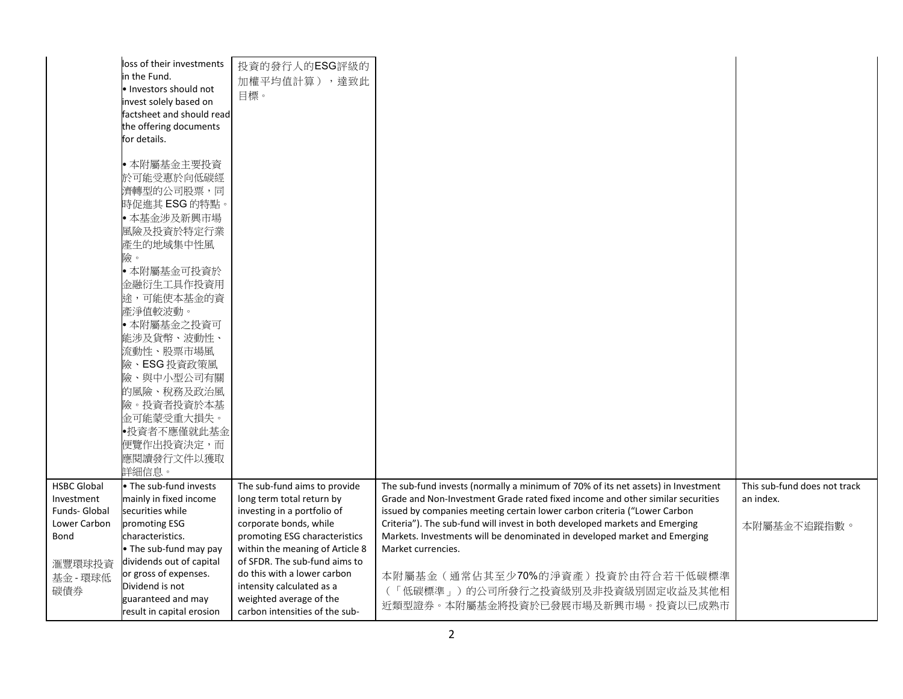|                                                                           | loss of their investments<br>in the Fund.<br>Investors should not<br>invest solely based on<br>actsheet and should read<br>the offering documents<br>for details. | 投資的發行人的ESG評級的<br>加權平均值計算),達致此<br>目標。                                                                                                                                                                                    |                                                                                                                                                                                                                                                                                                                                                                                                                                  |                                                          |
|---------------------------------------------------------------------------|-------------------------------------------------------------------------------------------------------------------------------------------------------------------|-------------------------------------------------------------------------------------------------------------------------------------------------------------------------------------------------------------------------|----------------------------------------------------------------------------------------------------------------------------------------------------------------------------------------------------------------------------------------------------------------------------------------------------------------------------------------------------------------------------------------------------------------------------------|----------------------------------------------------------|
|                                                                           | • 本附屬基金主要投資<br>於可能受惠於向低碳經<br>濟轉型的公司股票,同<br>時促進其 ESG 的特點。<br>● 本基金涉及新興市場<br>風險及投資於特定行業                                                                             |                                                                                                                                                                                                                         |                                                                                                                                                                                                                                                                                                                                                                                                                                  |                                                          |
|                                                                           | 產生的地域集中性風<br>險。<br>• 本附屬基金可投資於<br>金融衍生工具作投資用<br>途,可能使本基金的資<br>產淨值較波動。<br>• 本附屬基金之投資可                                                                              |                                                                                                                                                                                                                         |                                                                                                                                                                                                                                                                                                                                                                                                                                  |                                                          |
|                                                                           | 能涉及貨幣、波動性、<br>流動性、股票市場風<br>險、ESG 投資政策風<br>險、與中小型公司有關<br>的風險、稅務及政治風<br>險。投資者投資於本基<br>金可能蒙受重大損失。                                                                    |                                                                                                                                                                                                                         |                                                                                                                                                                                                                                                                                                                                                                                                                                  |                                                          |
|                                                                           | •投資者不應僅就此基金<br>便覽作出投資決定,而<br>應閱讀發行文件以獲取<br>詳細信息。                                                                                                                  |                                                                                                                                                                                                                         |                                                                                                                                                                                                                                                                                                                                                                                                                                  |                                                          |
| <b>HSBC Global</b><br>Investment<br>Funds- Global<br>Lower Carbon<br>Bond | • The sub-fund invests<br>mainly in fixed income<br>securities while<br>promoting ESG<br>characteristics.<br>• The sub-fund may pay<br>dividends out of capital   | The sub-fund aims to provide<br>long term total return by<br>investing in a portfolio of<br>corporate bonds, while<br>promoting ESG characteristics<br>within the meaning of Article 8<br>of SFDR. The sub-fund aims to | The sub-fund invests (normally a minimum of 70% of its net assets) in Investment<br>Grade and Non-Investment Grade rated fixed income and other similar securities<br>issued by companies meeting certain lower carbon criteria ("Lower Carbon<br>Criteria"). The sub-fund will invest in both developed markets and Emerging<br>Markets. Investments will be denominated in developed market and Emerging<br>Market currencies. | This sub-fund does not track<br>an index.<br>本附屬基金不追蹤指數。 |
| 滙豐環球投資<br>基金 - 環球低<br>碳債券                                                 | or gross of expenses.<br>Dividend is not<br>guaranteed and may<br>result in capital erosion                                                                       | do this with a lower carbon<br>intensity calculated as a<br>weighted average of the<br>carbon intensities of the sub-                                                                                                   | 本附屬基金(通常佔其至少70%的淨資產)投資於由符合若干低碳標準<br>(「低碳標準」)的公司所發行之投資級別及非投資級別固定收益及其他相<br>近類型證券。本附屬基金將投資於已發展市場及新興市場。投資以已成熟市                                                                                                                                                                                                                                                                                                                       |                                                          |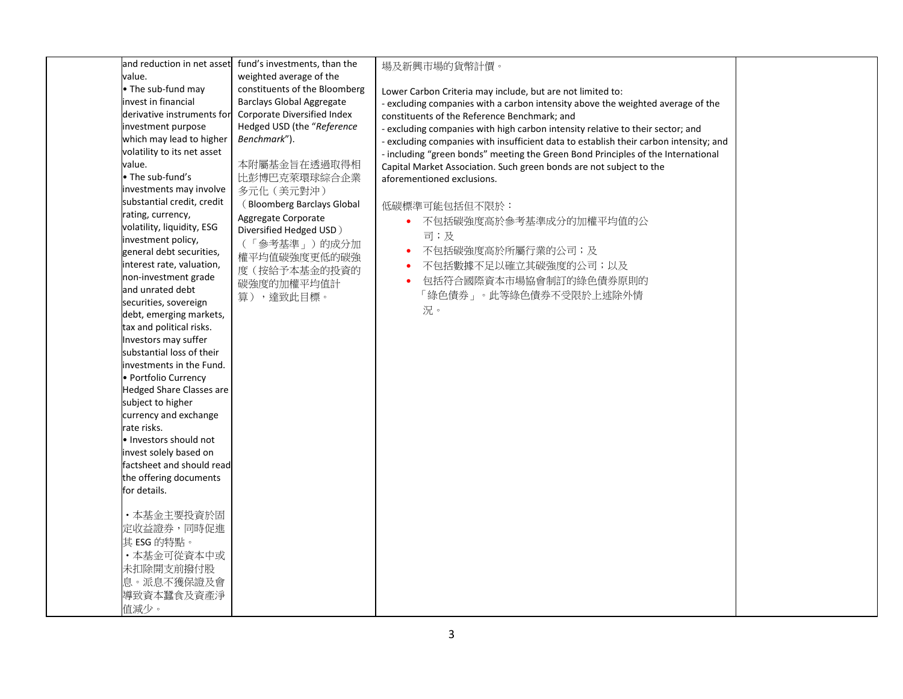| and reduction in net asset                          | fund's investments, than the     | 場及新興市場的貨幣計價。                                                                          |  |
|-----------------------------------------------------|----------------------------------|---------------------------------------------------------------------------------------|--|
| value.                                              | weighted average of the          |                                                                                       |  |
| • The sub-fund may                                  | constituents of the Bloomberg    | Lower Carbon Criteria may include, but are not limited to:                            |  |
| invest in financial                                 | <b>Barclays Global Aggregate</b> | - excluding companies with a carbon intensity above the weighted average of the       |  |
| derivative instruments for                          | Corporate Diversified Index      | constituents of the Reference Benchmark; and                                          |  |
| investment purpose                                  | Hedged USD (the "Reference       | - excluding companies with high carbon intensity relative to their sector; and        |  |
| which may lead to higher                            | Benchmark").                     | - excluding companies with insufficient data to establish their carbon intensity; and |  |
| volatility to its net asset                         |                                  | - including "green bonds" meeting the Green Bond Principles of the International      |  |
| value.                                              | 本附屬基金旨在透過取得相                     | Capital Market Association. Such green bonds are not subject to the                   |  |
| • The sub-fund's                                    | 比彭博巴克萊環球綜合企業                     | aforementioned exclusions.                                                            |  |
| investments may involve                             | 多元化 (美元對沖)                       |                                                                                       |  |
| substantial credit, credit                          | (Bloomberg Barclays Global       | 低碳標準可能包括但不限於:                                                                         |  |
| rating, currency,                                   | Aggregate Corporate              | 不包括碳強度高於參考基準成分的加權平均值的公                                                                |  |
| volatility, liquidity, ESG                          | Diversified Hedged USD)          |                                                                                       |  |
| investment policy,                                  | (「參考基準」)的成分加                     | 司;及                                                                                   |  |
| general debt securities,                            | 權平均值碳強度更低的碳強                     | 不包括碳強度高於所屬行業的公司;及                                                                     |  |
| interest rate, valuation,                           | 度(按給予本基金的投資的                     | 不包括數據不足以確立其碳強度的公司;以及                                                                  |  |
| non-investment grade                                | 碳強度的加權平均值計                       | 包括符合國際資本市場協會制訂的綠色債券原則的                                                                |  |
| and unrated debt                                    | 算),達致此目標。                        | 「綠色債券」。此等綠色債券不受限於上述除外情                                                                |  |
| securities, sovereign                               |                                  | 況。                                                                                    |  |
| debt, emerging markets,                             |                                  |                                                                                       |  |
| tax and political risks.                            |                                  |                                                                                       |  |
| Investors may suffer                                |                                  |                                                                                       |  |
| substantial loss of their                           |                                  |                                                                                       |  |
| investments in the Fund.                            |                                  |                                                                                       |  |
| · Portfolio Currency                                |                                  |                                                                                       |  |
| <b>Hedged Share Classes are</b>                     |                                  |                                                                                       |  |
| subject to higher                                   |                                  |                                                                                       |  |
| currency and exchange                               |                                  |                                                                                       |  |
| rate risks.                                         |                                  |                                                                                       |  |
| . Investors should not                              |                                  |                                                                                       |  |
| invest solely based on                              |                                  |                                                                                       |  |
| factsheet and should read<br>the offering documents |                                  |                                                                                       |  |
| for details.                                        |                                  |                                                                                       |  |
|                                                     |                                  |                                                                                       |  |
| ·本基金主要投資於固                                          |                                  |                                                                                       |  |
| 定收益證券,同時促進                                          |                                  |                                                                                       |  |
| 其 ESG 的特點。                                          |                                  |                                                                                       |  |
|                                                     |                                  |                                                                                       |  |
| ·本基金可從資本中或                                          |                                  |                                                                                       |  |
| 未扣除開支前撥付股                                           |                                  |                                                                                       |  |
| 息。派息不獲保證及會                                          |                                  |                                                                                       |  |
| 導致資本蠶食及資產淨                                          |                                  |                                                                                       |  |
| 值減少。                                                |                                  |                                                                                       |  |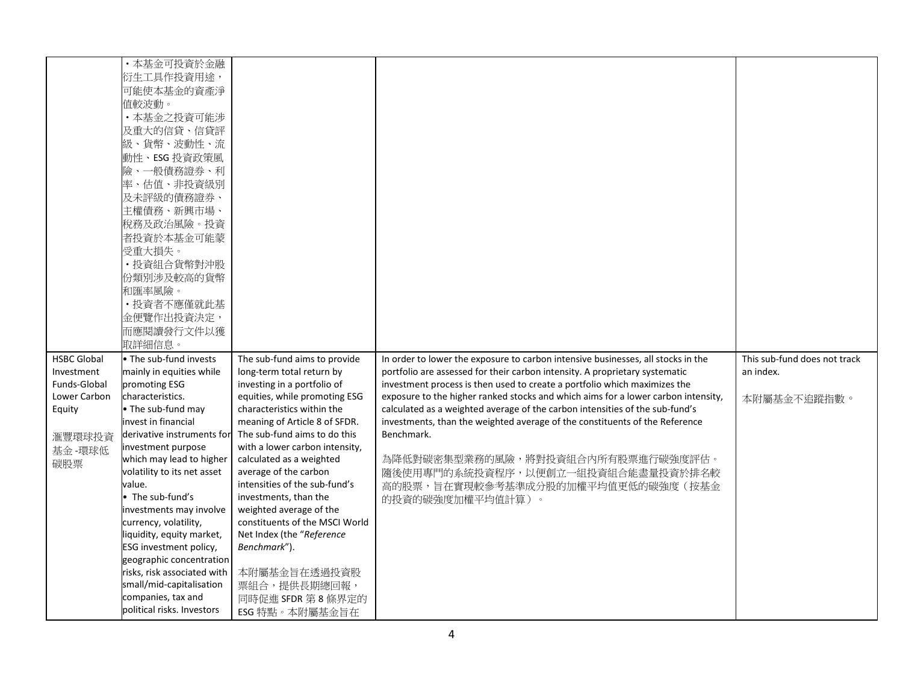|                    | ·本基金可投資於金融                  |                                |                                                                                   |                              |
|--------------------|-----------------------------|--------------------------------|-----------------------------------------------------------------------------------|------------------------------|
|                    | 衍生工具作投資用途,                  |                                |                                                                                   |                              |
|                    | 可能使本基金的資產淨                  |                                |                                                                                   |                              |
|                    | 值較波動。                       |                                |                                                                                   |                              |
|                    | ·本基金之投資可能涉                  |                                |                                                                                   |                              |
|                    | 及重大的信貸、信貸評                  |                                |                                                                                   |                              |
|                    | 級、貨幣、波動性、流                  |                                |                                                                                   |                              |
|                    | 動性、ESG 投資政策風                |                                |                                                                                   |                              |
|                    | 險、一般債務證券、利                  |                                |                                                                                   |                              |
|                    | 率、估值、非投資級別                  |                                |                                                                                   |                              |
|                    | 及未評級的債務證券、                  |                                |                                                                                   |                              |
|                    |                             |                                |                                                                                   |                              |
|                    | 主權債務、新興市場、                  |                                |                                                                                   |                              |
|                    | 稅務及政治風險。投資                  |                                |                                                                                   |                              |
|                    | 者投資於本基金可能蒙                  |                                |                                                                                   |                              |
|                    | 受重大損失。                      |                                |                                                                                   |                              |
|                    | · 投資組合貨幣對沖股                 |                                |                                                                                   |                              |
|                    | 份類別涉及較高的貨幣                  |                                |                                                                                   |                              |
|                    | 和匯率風險。                      |                                |                                                                                   |                              |
|                    | · 投資者不應僅就此基                 |                                |                                                                                   |                              |
|                    | 金便覽作出投資決定,                  |                                |                                                                                   |                              |
|                    | 而應閱讀發行文件以獲                  |                                |                                                                                   |                              |
|                    | 取詳細信息。                      |                                |                                                                                   |                              |
| <b>HSBC Global</b> | • The sub-fund invests      | The sub-fund aims to provide   | In order to lower the exposure to carbon intensive businesses, all stocks in the  | This sub-fund does not track |
| Investment         | mainly in equities while    | long-term total return by      | portfolio are assessed for their carbon intensity. A proprietary systematic       | an index.                    |
| Funds-Global       | promoting ESG               | investing in a portfolio of    | investment process is then used to create a portfolio which maximizes the         |                              |
| Lower Carbon       | characteristics.            | equities, while promoting ESG  | exposure to the higher ranked stocks and which aims for a lower carbon intensity, | 本附屬基金不追蹤指數。                  |
| Equity             | • The sub-fund may          | characteristics within the     | calculated as a weighted average of the carbon intensities of the sub-fund's      |                              |
|                    | invest in financial         | meaning of Article 8 of SFDR.  | investments, than the weighted average of the constituents of the Reference       |                              |
|                    | derivative instruments for  | The sub-fund aims to do this   | Benchmark.                                                                        |                              |
| 滙豐環球投資             | investment purpose          | with a lower carbon intensity, |                                                                                   |                              |
| 基金-環球低             | which may lead to higher    | calculated as a weighted       | 為降低對碳密集型業務的風險,將對投資組合內所有股票進行碳強度評估。                                                 |                              |
| 碳股票                | volatility to its net asset | average of the carbon          | 隨後使用專門的系統投資程序,以便創立一組投資組合能盡量投資於排名較                                                 |                              |
|                    | value.                      | intensities of the sub-fund's  | 高的股票,旨在實現較參考基準成分股的加權平均值更低的碳強度(按基金                                                 |                              |
|                    | • The sub-fund's            | investments, than the          | 的投資的碳強度加權平均值計算)。                                                                  |                              |
|                    | investments may involve     | weighted average of the        |                                                                                   |                              |
|                    | currency, volatility,       | constituents of the MSCI World |                                                                                   |                              |
|                    | liquidity, equity market,   | Net Index (the "Reference      |                                                                                   |                              |
|                    | ESG investment policy,      | Benchmark").                   |                                                                                   |                              |
|                    | geographic concentration    |                                |                                                                                   |                              |
|                    | risks, risk associated with | 本附屬基金旨在透過投資股                   |                                                                                   |                              |
|                    | small/mid-capitalisation    | 票組合,提供長期總回報,                   |                                                                                   |                              |
|                    | companies, tax and          | 同時促進 SFDR 第8條界定的               |                                                                                   |                              |
|                    | political risks. Investors  | ESG 特點。本附屬基金旨在                 |                                                                                   |                              |
|                    |                             |                                |                                                                                   |                              |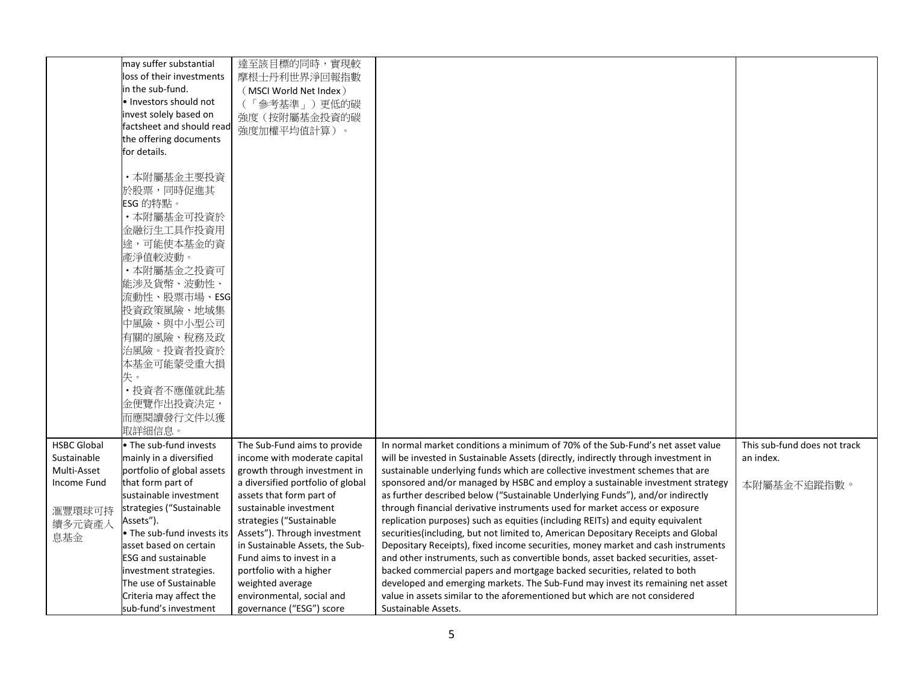|                    | may suffer substantial     | 達至該目標的同時,實現較                      |                                                                                    |                              |
|--------------------|----------------------------|-----------------------------------|------------------------------------------------------------------------------------|------------------------------|
|                    | loss of their investments  | 摩根士丹利世界淨回報指數                      |                                                                                    |                              |
|                    | in the sub-fund.           | (MSCI World Net Index)            |                                                                                    |                              |
|                    | . Investors should not     | (「參考基準」)更低的碳                      |                                                                                    |                              |
|                    | invest solely based on     | 強度(按附屬基金投資的碳                      |                                                                                    |                              |
|                    | factsheet and should read  | 強度加權平均值計算)。                       |                                                                                    |                              |
|                    | the offering documents     |                                   |                                                                                    |                              |
|                    | for details.               |                                   |                                                                                    |                              |
|                    |                            |                                   |                                                                                    |                              |
|                    | ・本附屬基金主要投資                 |                                   |                                                                                    |                              |
|                    | 於股票,同時促進其                  |                                   |                                                                                    |                              |
|                    | ESG 的特點。                   |                                   |                                                                                    |                              |
|                    | ·本附屬基金可投資於                 |                                   |                                                                                    |                              |
|                    | 金融衍生工具作投資用                 |                                   |                                                                                    |                              |
|                    | 途,可能使本基金的資                 |                                   |                                                                                    |                              |
|                    | 產淨值較波動。                    |                                   |                                                                                    |                              |
|                    | ·本附屬基金之投資可                 |                                   |                                                                                    |                              |
|                    | 能涉及貨幣、波動性、                 |                                   |                                                                                    |                              |
|                    |                            |                                   |                                                                                    |                              |
|                    | 流動性、股票市場、ESG               |                                   |                                                                                    |                              |
|                    | 投資政策風險、地域集                 |                                   |                                                                                    |                              |
|                    | 中風險、與中小型公司                 |                                   |                                                                                    |                              |
|                    | 有關的風險、稅務及政                 |                                   |                                                                                    |                              |
|                    | 治風險。投資者投資於                 |                                   |                                                                                    |                              |
|                    | 本基金可能蒙受重大損                 |                                   |                                                                                    |                              |
|                    | 失。                         |                                   |                                                                                    |                              |
|                    | · 投資者不應僅就此基                |                                   |                                                                                    |                              |
|                    | 金便覽作出投資決定,                 |                                   |                                                                                    |                              |
|                    | 而應閱讀發行文件以獲                 |                                   |                                                                                    |                              |
|                    | 取詳細信息。                     |                                   |                                                                                    |                              |
| <b>HSBC Global</b> | • The sub-fund invests     | The Sub-Fund aims to provide      | In normal market conditions a minimum of 70% of the Sub-Fund's net asset value     | This sub-fund does not track |
| Sustainable        | mainly in a diversified    | income with moderate capital      | will be invested in Sustainable Assets (directly, indirectly through investment in | an index.                    |
| Multi-Asset        | portfolio of global assets | growth through investment in      | sustainable underlying funds which are collective investment schemes that are      |                              |
| Income Fund        | that form part of          | a diversified portfolio of global | sponsored and/or managed by HSBC and employ a sustainable investment strategy      | 本附屬基金不追蹤指數。                  |
|                    | sustainable investment     | assets that form part of          | as further described below ("Sustainable Underlying Funds"), and/or indirectly     |                              |
| 滙豐環球可持             | strategies ("Sustainable   | sustainable investment            | through financial derivative instruments used for market access or exposure        |                              |
| 續多元資產入             | Assets").                  | strategies ("Sustainable          | replication purposes) such as equities (including REITs) and equity equivalent     |                              |
| 息基金                | • The sub-fund invests its | Assets"). Through investment      | securities(including, but not limited to, American Depositary Receipts and Global  |                              |
|                    | asset based on certain     | in Sustainable Assets, the Sub-   | Depositary Receipts), fixed income securities, money market and cash instruments   |                              |
|                    | <b>ESG and sustainable</b> | Fund aims to invest in a          | and other instruments, such as convertible bonds, asset backed securities, asset-  |                              |
|                    | investment strategies.     | portfolio with a higher           | backed commercial papers and mortgage backed securities, related to both           |                              |
|                    | The use of Sustainable     | weighted average                  | developed and emerging markets. The Sub-Fund may invest its remaining net asset    |                              |
|                    | Criteria may affect the    | environmental, social and         | value in assets similar to the aforementioned but which are not considered         |                              |
|                    | sub-fund's investment      | governance ("ESG") score          | Sustainable Assets.                                                                |                              |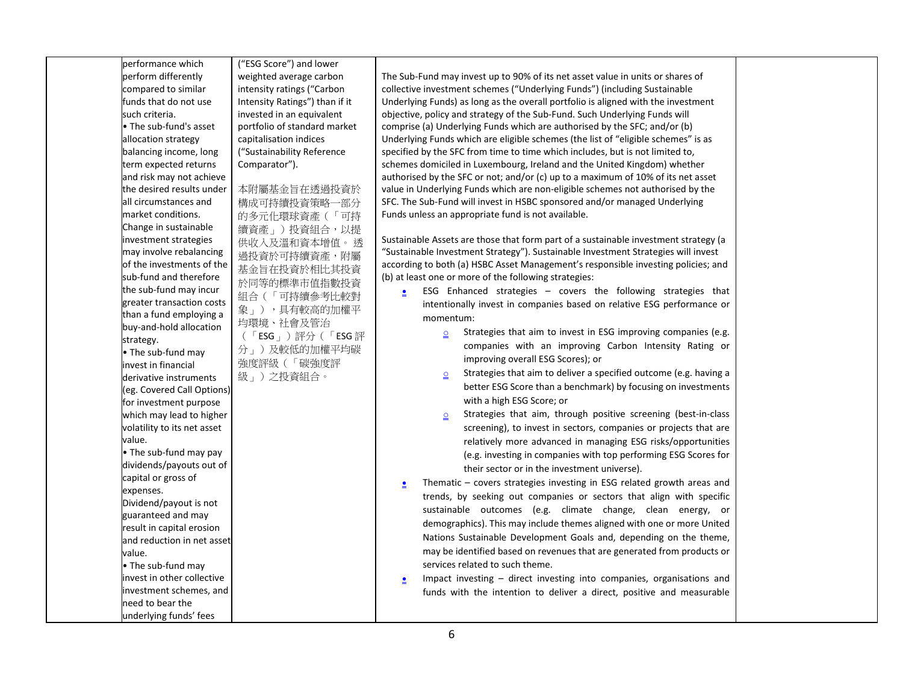| performance which<br>perform differently<br>compared to similar<br>funds that do not use<br>such criteria.<br>• The sub-fund's asset<br>allocation strategy<br>balancing income, long<br>term expected returns<br>and risk may not achieve<br>the desired results under<br>all circumstances and<br>market conditions.<br>Change in sustainable<br>investment strategies<br>may involve rebalancing<br>of the investments of the<br>sub-fund and therefore<br>the sub-fund may incur<br>greater transaction costs<br>than a fund employing a<br>buy-and-hold allocation<br>strategy.<br>• The sub-fund may<br>invest in financial<br>derivative instruments<br>(eg. Covered Call Options)<br>for investment purpose<br>which may lead to higher<br>volatility to its net asset | ("ESG Score") and lower<br>weighted average carbon<br>intensity ratings ("Carbon<br>Intensity Ratings") than if it<br>invested in an equivalent<br>portfolio of standard market<br>capitalisation indices<br>("Sustainability Reference<br>Comparator").<br>本附屬基金旨在透過投資於<br>構成可持續投資策略一部分<br>的多元化環球資產(「可持<br>續資產」)投資組合,以提<br>供收入及溫和資本增值。 透<br>過投資於可持續資產,附屬<br>基金旨在投資於相比其投資<br>於同等的標準市值指數投資<br>組合(「可持續參考比較對<br>象」),具有較高的加權平<br>均環境、社會及管治<br>(「ESG」)評分(「ESG評<br>分」)及較低的加權平均碳<br>強度評級 (「碳強度評<br>級」)之投資組合。 | The Sub-Fund may invest up to 90% of its net asset value in units or shares of<br>collective investment schemes ("Underlying Funds") (including Sustainable<br>Underlying Funds) as long as the overall portfolio is aligned with the investment<br>objective, policy and strategy of the Sub-Fund. Such Underlying Funds will<br>comprise (a) Underlying Funds which are authorised by the SFC; and/or (b)<br>Underlying Funds which are eligible schemes (the list of "eligible schemes" is as<br>specified by the SFC from time to time which includes, but is not limited to,<br>schemes domiciled in Luxembourg, Ireland and the United Kingdom) whether<br>authorised by the SFC or not; and/or (c) up to a maximum of 10% of its net asset<br>value in Underlying Funds which are non-eligible schemes not authorised by the<br>SFC. The Sub-Fund will invest in HSBC sponsored and/or managed Underlying<br>Funds unless an appropriate fund is not available.<br>Sustainable Assets are those that form part of a sustainable investment strategy (a<br>"Sustainable Investment Strategy"). Sustainable Investment Strategies will invest<br>according to both (a) HSBC Asset Management's responsible investing policies; and<br>(b) at least one or more of the following strategies:<br>ESG Enhanced strategies – covers the following strategies that<br>$\bullet$<br>intentionally invest in companies based on relative ESG performance or<br>momentum:<br>Strategies that aim to invest in ESG improving companies (e.g.<br>$\underline{\mathsf{O}}$<br>companies with an improving Carbon Intensity Rating or<br>improving overall ESG Scores); or<br>Strategies that aim to deliver a specified outcome (e.g. having a<br>$\subseteq$<br>better ESG Score than a benchmark) by focusing on investments<br>with a high ESG Score; or<br>Strategies that aim, through positive screening (best-in-class<br>$\Omega$<br>screening), to invest in sectors, companies or projects that are |
|--------------------------------------------------------------------------------------------------------------------------------------------------------------------------------------------------------------------------------------------------------------------------------------------------------------------------------------------------------------------------------------------------------------------------------------------------------------------------------------------------------------------------------------------------------------------------------------------------------------------------------------------------------------------------------------------------------------------------------------------------------------------------------|-------------------------------------------------------------------------------------------------------------------------------------------------------------------------------------------------------------------------------------------------------------------------------------------------------------------------------------------------------------------------------------------------------------------------------------------------------------------------------------------------------|---------------------------------------------------------------------------------------------------------------------------------------------------------------------------------------------------------------------------------------------------------------------------------------------------------------------------------------------------------------------------------------------------------------------------------------------------------------------------------------------------------------------------------------------------------------------------------------------------------------------------------------------------------------------------------------------------------------------------------------------------------------------------------------------------------------------------------------------------------------------------------------------------------------------------------------------------------------------------------------------------------------------------------------------------------------------------------------------------------------------------------------------------------------------------------------------------------------------------------------------------------------------------------------------------------------------------------------------------------------------------------------------------------------------------------------------------------------------------------------------------------------------------------------------------------------------------------------------------------------------------------------------------------------------------------------------------------------------------------------------------------------------------------------------------------------------------------------------------------------------------------------------------------------------------------------------------------------------------------------------------------|
| value.<br>• The sub-fund may pay<br>dividends/payouts out of<br>capital or gross of<br>expenses.<br>Dividend/payout is not<br>guaranteed and may<br>result in capital erosion<br>and reduction in net asset<br>value.<br>• The sub-fund may<br>invest in other collective<br>investment schemes, and<br>need to bear the<br>underlying funds' fees                                                                                                                                                                                                                                                                                                                                                                                                                             |                                                                                                                                                                                                                                                                                                                                                                                                                                                                                                       | relatively more advanced in managing ESG risks/opportunities<br>(e.g. investing in companies with top performing ESG Scores for<br>their sector or in the investment universe).<br>Thematic $-$ covers strategies investing in ESG related growth areas and<br>trends, by seeking out companies or sectors that align with specific<br>sustainable outcomes (e.g. climate change, clean energy, or<br>demographics). This may include themes aligned with one or more United<br>Nations Sustainable Development Goals and, depending on the theme,<br>may be identified based on revenues that are generated from products or<br>services related to such theme.<br>Impact investing $-$ direct investing into companies, organisations and<br>$\bullet$<br>funds with the intention to deliver a direct, positive and measurable                                                                                                                                                                                                                                                                                                                                                                                                                                                                                                                                                                                                                                                                                                                                                                                                                                                                                                                                                                                                                                                                                                                                                                       |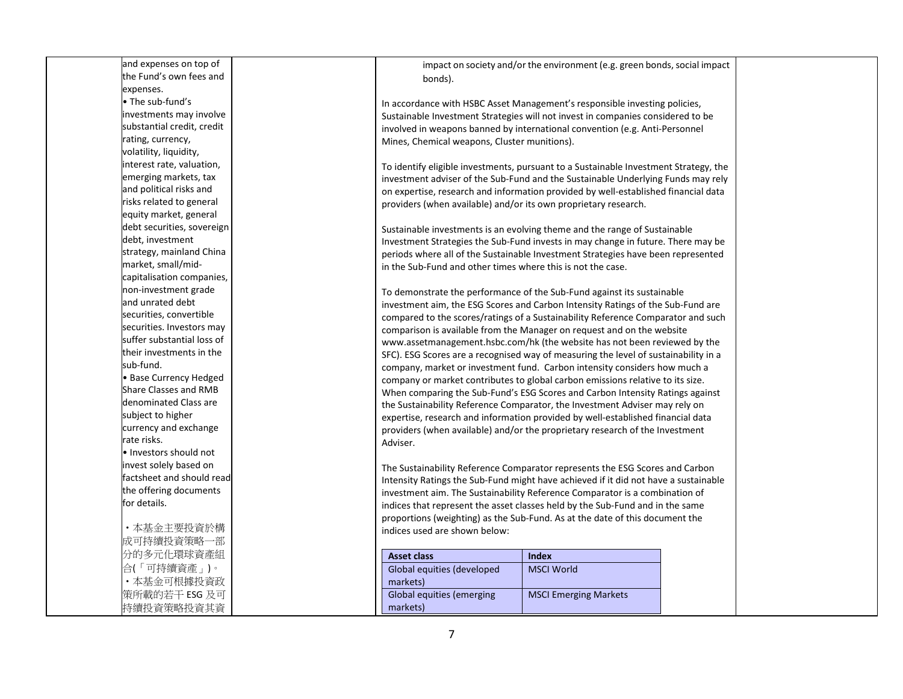and expenses on top of the Fund's own fees and expenses. • The sub-fund's investments may involve substantial credit, credit rating, currency, volatility, liquidity, interest rate, valuation, emerging markets, tax and political risks and risks related to general equity market, general debt securities, sovereign debt, investment strategy, mainland China market, small/midcapitalisation companies, non-investment grade and unrated debt securities, convertible securities. Investors may suffer substantial loss of their investments in the sub-fund. • Base Currency Hedged Share Classes and RMB denominated Class are subject to higher currency and exchange rate risks. • Investors should not invest solely based on factsheet and should read the offering documents for details. ・本基金主要投資於構 成 可 持 續 投 資 策 略 一 部 分的多元化環球資產組 合(「可持續資產」)。 ・本基金可根據投資政 策所載的若干 ESG 及可 持 續 投 資 策 略 投 資 其 資

impact on society and/or the environment (e.g. green bonds, social impact bonds).

In accordance with HSBC Asset Management's responsible investing policies, Sustainable Investment Strategies will not invest in companies considered to be involved in weapons banned by international convention (e.g. Anti-Personnel Mines, Chemical weapons, Cluster munitions).

To identify eligible investments, pursuant to a Sustainable Investment Strategy, the investment adviser of the Sub-Fund and the Sustainable Underlying Funds may rely on expertise, research and information provided by well-established financial data providers (when available) and/or its own proprietary research.

Sustainable investments is an evolving theme and the range of Sustainable Investment Strategies the Sub-Fund invests in may change in future. There may be periods where all of the Sustainable Investment Strategies have been represented in the Sub-Fund and other times where this is not the case.

To demonstrate the performance of the Sub-Fund against its sustainable investment aim, the ESG Scores and Carbon Intensity Ratings of the Sub-Fund are compared to the scores/ratings of a Sustainability Reference Comparator and such comparison is available from the Manager on request and on the website www.assetmanagement.hsbc.com/hk (the website has not been reviewed by the SFC). ESG Scores are a recognised way of measuring the level of sustainability in a company, market or investment fund. Carbon intensity considers how much a company or market contributes to global carbon emissions relative to its size. When comparing the Sub-Fund's ESG Scores and Carbon Intensity Ratings against the Sustainability Reference Comparator, the Investment Adviser may rely on expertise, research and information provided by well-established financial data providers (when available) and/or the proprietary research of the Investment Adviser.

The Sustainability Reference Comparator represents the ESG Scores and Carbon Intensity Ratings the Sub-Fund might have achieved if it did not have a sustainable investment aim. The Sustainability Reference Comparator is a combination of indices that represent the asset classes held by the Sub-Fund and in the same proportions (weighting) as the Sub-Fund. As at the date of this document the indices used are shown below:

| <b>Asset class</b>         | Index                        |
|----------------------------|------------------------------|
| Global equities (developed | <b>MSCI World</b>            |
| markets)                   |                              |
| Global equities (emerging  | <b>MSCI Emerging Markets</b> |
| markets)                   |                              |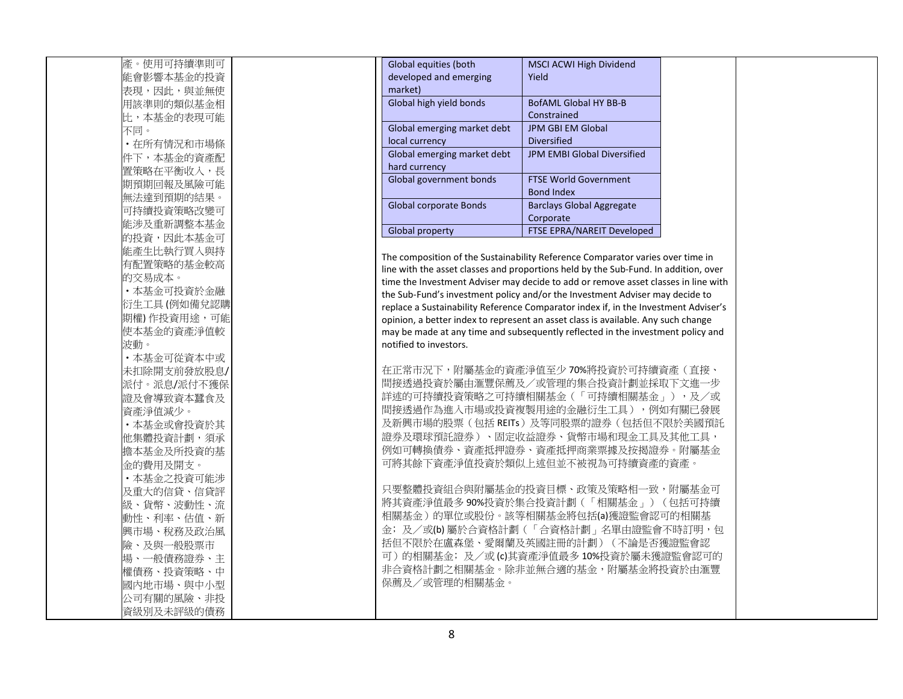| 產。使用可持續準則可  |  |
|-------------|--|
| 能會影響本基金的投資  |  |
| 表現,因此,與並無使  |  |
| 用該準則的類似基金相  |  |
| 比,本基金的表現可能  |  |
| 不同。         |  |
| ・在所有情況和市場條  |  |
| 件下,本基金的資產配  |  |
| 置策略在平衡收入,長  |  |
| 期預期回報及風險可能  |  |
| 無法達到預期的結果。  |  |
| 可持續投資策略改變可  |  |
| 能涉及重新調整本基金  |  |
| 的投資,因此本基金可  |  |
| 能產生比執行買入與持  |  |
| 有配置策略的基金較高  |  |
| 的交易成本。      |  |
| ・本基金可投資於金融  |  |
| 衍生工具(例如備兌認購 |  |
| 期權)作投資用途,可能 |  |
| 使本基金的資產淨值較  |  |
| 波動。         |  |
| • 本基金可從資本中或 |  |
| 未扣除開支前發放股息/ |  |
| 派付。派息/派付不獲保 |  |
| 證及會導致資本蠶食及  |  |
| 資產淨值減少。     |  |
| ・本基金或會投資於其  |  |
| 他集體投資計劃,須承  |  |
| 擔本基金及所投資的基  |  |
| 金的費用及開支。    |  |
| ·本基金之投資可能涉  |  |
| 及重大的信貸、信貸評  |  |
| 級、貨幣、波動性、流  |  |
| 動性、利率、估值、新  |  |
| 興市場、稅務及政治風  |  |
| 險、及與一般股票市   |  |
| 場、一般債務證券、主  |  |
| 權債務、投資策略、中  |  |
| 國內地市場、與中小型  |  |
| 公司有關的風險、非投  |  |
| 資級別及未評級的債務  |  |

| Global equities (both<br>developed and emerging<br>market) | <b>MSCI ACWI High Dividend</b><br>Yield           |
|------------------------------------------------------------|---------------------------------------------------|
| Global high yield bonds                                    | BofAML Global HY BB-B<br>Constrained              |
| Global emerging market debt<br>local currency              | <b>JPM GBI EM Global</b><br>Diversified           |
| Global emerging market debt<br>hard currency               | <b>JPM EMBI Global Diversified</b>                |
| Global government bonds                                    | <b>FTSE World Government</b><br><b>Bond Index</b> |
| Global corporate Bonds                                     | <b>Barclays Global Aggregate</b><br>Corporate     |
| Global property                                            | <b>FTSE EPRA/NAREIT Developed</b>                 |

The composition of the Sustainability Reference Comparator varies over time in line with the asset classes and proportions held by the Sub-Fund. In addition, over time the Investment Adviser may decide to add or remove asset classes in line with the Sub-Fund's investment policy and/or the Investment Adviser may decide to replace a Sustainability Reference Comparator index if, in the Investment Adviser's opinion, a better index to represent an asset class is available. Any such change may be made at any time and subsequently reflected in the investment policy and notified to investors.

在正常市況下,附屬基金的資產淨值至少 70%將投資於可持續資產(直接、 間接透過投資於屬由滙豐保薦及/或管理的集合投資計劃並採取下文進一步 詳述的可持續投資策略之可持續相關基金(「可持續相關基金」),及/或 間接透過作為進入市場或投資複製用途的金融衍生工具 ),例如有關已發展 及新興市場的股票(包括 REITs)及等同股票的證券(包括但不限於美國預託 證券及環球預託證券)、固定收益證券、貨幣市場和現金工具及其他工具, 例如可轉換債券、資產抵押證券、資產抵押商業票據及按揭證券。附屬基金 可將其餘下資產淨值投資於類似上述但並不被視為可持續資產的資產。

只要整體投資組合與附屬基金的投資目標、政策及策略相一致,附屬基金可 將其資產淨值最多 90%投資於集合投資計劃(「相關基金」)(包括可持續 相關基金)的單位或股份。該等相關基金將包括(a)獲證監會認可的相關基 金;及/或(b) 屬於合資格計劃(「合資格計劃」名單由證監會不時訂明,包 括但不限於在盧森堡、愛爾蘭及英國註冊的計劃)(不論是否獲證監會認 可)的相關基金; 及/或(c)其資產淨值最多 10%投資於屬未獲證監會認可的 非合資格計劃之相關基金。除非並無合適的基金,附屬基金將投資於由滙豐 保薦及/或管理的相關基金。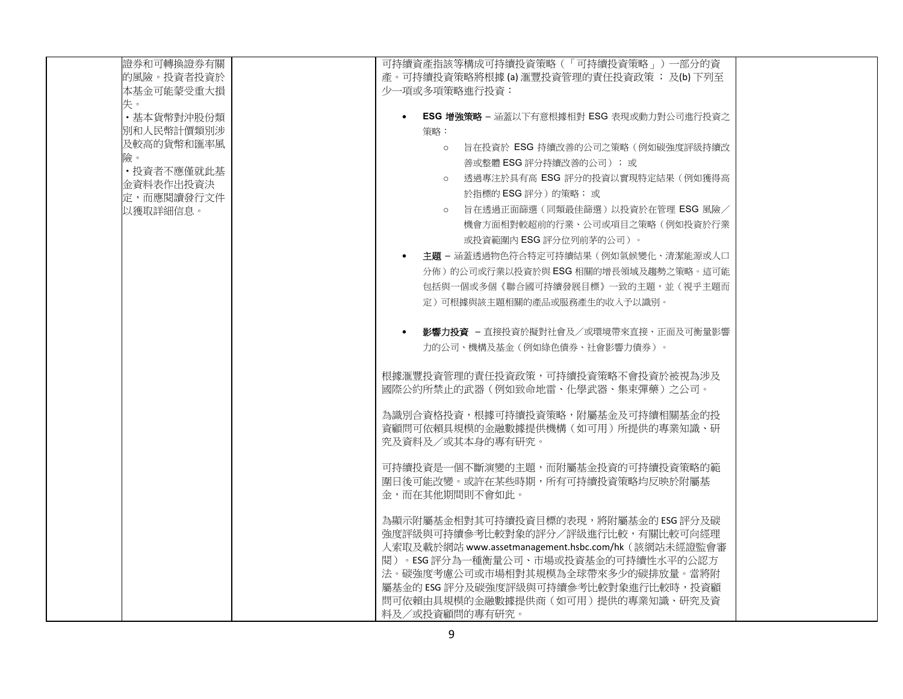| 證券和可轉換證券有關              | 可持續資產指該等構成可持續投資策略(「可持續投資策略」)一部分的資                         |  |
|-------------------------|-----------------------------------------------------------|--|
| 的風險。投資者投資於              | 產。可持續投資策略將根據(a) 滙豐投資管理的責任投資政策; 及(b) 下列至                   |  |
| 本基金可能蒙受重大損              | 少一項或多項策略推行投資:                                             |  |
| 失。                      |                                                           |  |
| ·基本貨幣對沖股份類              | ESG 增強策略 - 涵蓋以下有意根據相對 ESG 表現或動力對公司進行投資之                   |  |
| 別和人民幣計價類別涉              | 策略:                                                       |  |
| 及較高的貨幣和匯率風              | 旨在投資於 ESG 持續改善的公司之策略(例如碳強度評級持續改<br>$\circ$                |  |
| 險。                      | 善或整體 ESG 評分持續改善的公司 );或                                    |  |
| • 投資者不應僅就此基             | o 透過專注於具有高 ESG 評分的投資以實現特定結果(例如獲得高                         |  |
| 金資料表作出投資決<br>定,而應閱讀發行文件 | 於指標的 ESG 評分 )的策略; 或                                       |  |
| 以獲取詳細信息。                | o 旨在透過正面篩選(同類最佳篩選)以投資於在管理 ESG 風險/                         |  |
|                         | 機會方面相對較超前的行業、公司或項目之策略(例如投資於行業                             |  |
|                         | 或投資範圍內 ESG 評分位列前茅的公司 )。                                   |  |
|                         |                                                           |  |
|                         | - <b>主題 –</b> 涵蓋透過物色符合特定可持續結果(例如氣候變化、清潔能源或人口<br>$\bullet$ |  |
|                         | 分佈)的公司或行業以投資於與 ESG 相關的增長領域及趨勢之策略。這可能                      |  |
|                         | 包括與一個或多個《聯合國可持續發展目標》一致的主題,並(視乎主題而                         |  |
|                         | 定)可根據與該主題相關的產品或服務產生的收入予以識別。                               |  |
|                         |                                                           |  |
|                         | ● <b>影響力投資</b> – 直接投資於擬對社會及/或環境帶來直接、正面及可衡量影響              |  |
|                         | 力的公司、機構及基金(例如綠色債券、社會影響力債券)。                               |  |
|                         |                                                           |  |
|                         | 根據滙豐投資管理的責任投資政策,可持續投資策略不會投資於被視為涉及                         |  |
|                         | 國際公約所禁止的武器(例如致命地雷、化學武器、集束彈藥)之公司。                          |  |
|                         |                                                           |  |
|                         | 為識別合資格投資,根據可持續投資策略,附屬基金及可持續相關基金的投                         |  |
|                         | 資顧問可依賴具規模的金融數據提供機構(如可用)所提供的專業知識、研                         |  |
|                         | 究及資料及/或其本身的專有研究。                                          |  |
|                         | 可持續投資是一個不斷演變的主題,而附屬基金投資的可持續投資策略的範                         |  |
|                         | 圍日後可能改變。或許在某些時期,所有可持續投資策略均反映於附屬基                          |  |
|                         | 金,而在其他期間則不會如此。                                            |  |
|                         |                                                           |  |
|                         | 為顯示附屬基金相對其可持續投資目標的表現,將附屬基金的 ESG 評分及碳                      |  |
|                         | 強度評級與可持續參考比較對象的評分/評級進行比較,有關比較可向經理                         |  |
|                         | 人索取及載於網站 www.assetmanagement.hsbc.com/hk (該網站未經證監會審       |  |
|                         | 閱)。ESG 評分為一種衡量公司、市場或投資基金的可持續性水平的公認方                       |  |
|                         | 法。碳強度考慮公司或市場相對其規模為全球帶來多少的碳排放量。當將附                         |  |
|                         | 屬基金的 ESG 評分及碳強度評級與可持續參考比較對象進行比較時, 投資顧                     |  |
|                         | 問可依賴由具規模的金融數據提供商(如可用)提供的專業知識、研究及資                         |  |
|                         | 料及/或投資顧問的專有研究。                                            |  |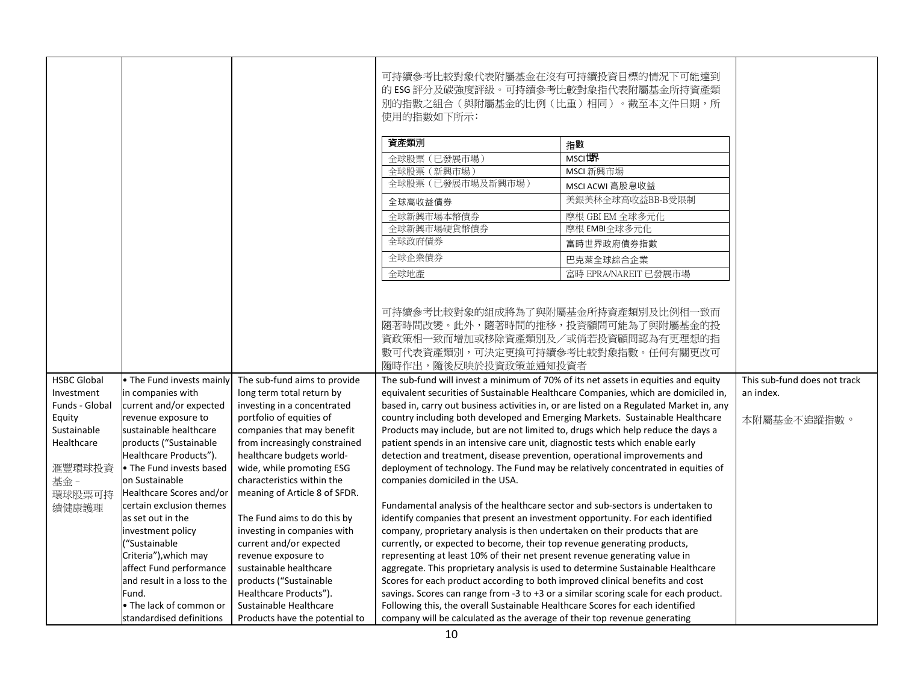|                                                                                                     |                                                                                                                                                                                                            |                                                                                                                                                                                                                                               | 可持續參考比較對象代表附屬基金在沒有可持續投資目標的情況下可能達到<br>的 ESG 評分及碳強度評級。可持續參考比較對象指代表附屬基金所持資產類<br>別的指數之組合(與附屬基金的比例(比重)相同)。截至本文件日期,所<br>使用的指數如下所示:                                                                                                                                                                                                                                                                                                                                                                                                                                 |                                                                                                                                                                                                                                                                   |                                                          |
|-----------------------------------------------------------------------------------------------------|------------------------------------------------------------------------------------------------------------------------------------------------------------------------------------------------------------|-----------------------------------------------------------------------------------------------------------------------------------------------------------------------------------------------------------------------------------------------|--------------------------------------------------------------------------------------------------------------------------------------------------------------------------------------------------------------------------------------------------------------------------------------------------------------------------------------------------------------------------------------------------------------------------------------------------------------------------------------------------------------------------------------------------------------|-------------------------------------------------------------------------------------------------------------------------------------------------------------------------------------------------------------------------------------------------------------------|----------------------------------------------------------|
|                                                                                                     |                                                                                                                                                                                                            |                                                                                                                                                                                                                                               | 資產類別                                                                                                                                                                                                                                                                                                                                                                                                                                                                                                                                                         | 指數                                                                                                                                                                                                                                                                |                                                          |
|                                                                                                     |                                                                                                                                                                                                            |                                                                                                                                                                                                                                               | 全球股票 (已發展市場)                                                                                                                                                                                                                                                                                                                                                                                                                                                                                                                                                 | MSCIU界                                                                                                                                                                                                                                                            |                                                          |
|                                                                                                     |                                                                                                                                                                                                            |                                                                                                                                                                                                                                               | 全球股票 (新興市場)                                                                                                                                                                                                                                                                                                                                                                                                                                                                                                                                                  | MSCI 新興市場                                                                                                                                                                                                                                                         |                                                          |
|                                                                                                     |                                                                                                                                                                                                            |                                                                                                                                                                                                                                               | 全球股票 (已發展市場及新興市場)                                                                                                                                                                                                                                                                                                                                                                                                                                                                                                                                            | MSCI ACWI 高股息收益                                                                                                                                                                                                                                                   |                                                          |
|                                                                                                     |                                                                                                                                                                                                            |                                                                                                                                                                                                                                               | 全球高收益債券                                                                                                                                                                                                                                                                                                                                                                                                                                                                                                                                                      | 美銀美林全球高收益BB-B受限制                                                                                                                                                                                                                                                  |                                                          |
|                                                                                                     |                                                                                                                                                                                                            |                                                                                                                                                                                                                                               | 全球新興市場本幣債券                                                                                                                                                                                                                                                                                                                                                                                                                                                                                                                                                   | 摩根 GBI EM 全球多元化                                                                                                                                                                                                                                                   |                                                          |
|                                                                                                     |                                                                                                                                                                                                            |                                                                                                                                                                                                                                               | 全球新興市場硬貨幣債券                                                                                                                                                                                                                                                                                                                                                                                                                                                                                                                                                  | 摩根 EMBI全球多元化                                                                                                                                                                                                                                                      |                                                          |
|                                                                                                     |                                                                                                                                                                                                            |                                                                                                                                                                                                                                               | 全球政府債券                                                                                                                                                                                                                                                                                                                                                                                                                                                                                                                                                       | 富時世界政府債券指數                                                                                                                                                                                                                                                        |                                                          |
|                                                                                                     |                                                                                                                                                                                                            |                                                                                                                                                                                                                                               | 全球企業債券                                                                                                                                                                                                                                                                                                                                                                                                                                                                                                                                                       | 巴克萊全球綜合企業                                                                                                                                                                                                                                                         |                                                          |
|                                                                                                     |                                                                                                                                                                                                            |                                                                                                                                                                                                                                               | 全球地產                                                                                                                                                                                                                                                                                                                                                                                                                                                                                                                                                         | 富時 EPRA/NAREIT 已發展市場                                                                                                                                                                                                                                              |                                                          |
| <b>HSBC Global</b><br>Investment<br>Funds - Global<br>Equity<br>Sustainable<br>Healthcare<br>滙豐環球投資 | . The Fund invests mainly<br>in companies with<br>current and/or expected<br>revenue exposure to<br>sustainable healthcare<br>products ("Sustainable<br>Healthcare Products").<br>• The Fund invests based | The sub-fund aims to provide<br>long term total return by<br>investing in a concentrated<br>portfolio of equities of<br>companies that may benefit<br>from increasingly constrained<br>healthcare budgets world-<br>wide, while promoting ESG | 隨著時間改變。此外,隨著時間的推移,投資顧問可能為了與附屬基金的投<br>資政策相一致而增加或移除資產類別及/或倘若投資顧問認為有更理想的指<br>數可代表資產類別,可決定更換可持續參考比較對象指數。任何有關更改可<br>隨時作出,隨後反映於投資政策並通知投資者<br>The sub-fund will invest a minimum of 70% of its net assets in equities and equity<br>country including both developed and Emerging Markets. Sustainable Healthcare<br>Products may include, but are not limited to, drugs which help reduce the days a<br>patient spends in an intensive care unit, diagnostic tests which enable early<br>detection and treatment, disease prevention, operational improvements and | equivalent securities of Sustainable Healthcare Companies, which are domiciled in,<br>based in, carry out business activities in, or are listed on a Regulated Market in, any<br>deployment of technology. The Fund may be relatively concentrated in equities of | This sub-fund does not track<br>an index.<br>本附屬基金不追蹤指數。 |
| 基金-<br>環球股票可持<br>續健康護理                                                                              | on Sustainable<br>Healthcare Scores and/or<br>certain exclusion themes                                                                                                                                     | characteristics within the<br>meaning of Article 8 of SFDR.                                                                                                                                                                                   | companies domiciled in the USA.<br>Fundamental analysis of the healthcare sector and sub-sectors is undertaken to                                                                                                                                                                                                                                                                                                                                                                                                                                            |                                                                                                                                                                                                                                                                   |                                                          |
|                                                                                                     | as set out in the<br>investment policy<br>"Sustainable                                                                                                                                                     | The Fund aims to do this by<br>investing in companies with<br>current and/or expected                                                                                                                                                         | identify companies that present an investment opportunity. For each identified<br>company, proprietary analysis is then undertaken on their products that are<br>currently, or expected to become, their top revenue generating products,                                                                                                                                                                                                                                                                                                                    |                                                                                                                                                                                                                                                                   |                                                          |
|                                                                                                     | Criteria"), which may                                                                                                                                                                                      | revenue exposure to                                                                                                                                                                                                                           | representing at least 10% of their net present revenue generating value in                                                                                                                                                                                                                                                                                                                                                                                                                                                                                   |                                                                                                                                                                                                                                                                   |                                                          |
|                                                                                                     | affect Fund performance                                                                                                                                                                                    | sustainable healthcare                                                                                                                                                                                                                        | aggregate. This proprietary analysis is used to determine Sustainable Healthcare                                                                                                                                                                                                                                                                                                                                                                                                                                                                             |                                                                                                                                                                                                                                                                   |                                                          |
|                                                                                                     | and result in a loss to the<br>Fund.                                                                                                                                                                       | products ("Sustainable<br>Healthcare Products").                                                                                                                                                                                              | Scores for each product according to both improved clinical benefits and cost<br>savings. Scores can range from -3 to +3 or a similar scoring scale for each product.                                                                                                                                                                                                                                                                                                                                                                                        |                                                                                                                                                                                                                                                                   |                                                          |
|                                                                                                     | • The lack of common or                                                                                                                                                                                    | Sustainable Healthcare                                                                                                                                                                                                                        | Following this, the overall Sustainable Healthcare Scores for each identified                                                                                                                                                                                                                                                                                                                                                                                                                                                                                |                                                                                                                                                                                                                                                                   |                                                          |
|                                                                                                     | standardised definitions                                                                                                                                                                                   | Products have the potential to                                                                                                                                                                                                                | company will be calculated as the average of their top revenue generating                                                                                                                                                                                                                                                                                                                                                                                                                                                                                    |                                                                                                                                                                                                                                                                   |                                                          |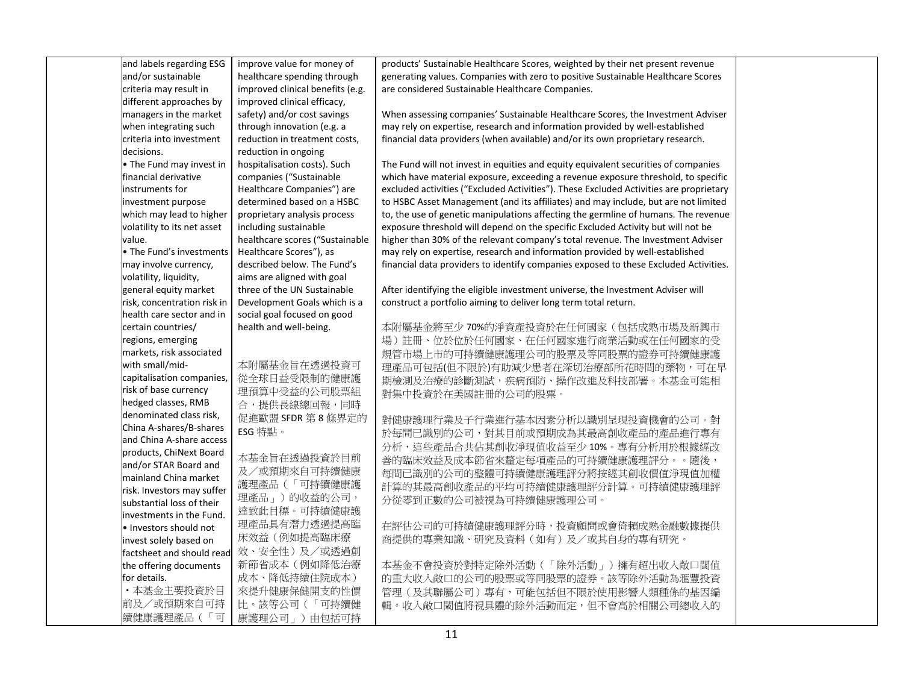| and labels regarding ESG    | improve value for money of             | products' Sustainable Healthcare Scores, weighted by their net present revenue         |  |
|-----------------------------|----------------------------------------|----------------------------------------------------------------------------------------|--|
| and/or sustainable          | healthcare spending through            | generating values. Companies with zero to positive Sustainable Healthcare Scores       |  |
| criteria may result in      | improved clinical benefits (e.g.       | are considered Sustainable Healthcare Companies.                                       |  |
| different approaches by     | improved clinical efficacy,            |                                                                                        |  |
| managers in the market      | safety) and/or cost savings            | When assessing companies' Sustainable Healthcare Scores, the Investment Adviser        |  |
| when integrating such       | through innovation (e.g. a             | may rely on expertise, research and information provided by well-established           |  |
| criteria into investment    | reduction in treatment costs,          | financial data providers (when available) and/or its own proprietary research.         |  |
| decisions.                  | reduction in ongoing                   |                                                                                        |  |
| • The Fund may invest in    | hospitalisation costs). Such           | The Fund will not invest in equities and equity equivalent securities of companies     |  |
| financial derivative        | companies ("Sustainable                | which have material exposure, exceeding a revenue exposure threshold, to specific      |  |
| instruments for             | Healthcare Companies") are             | excluded activities ("Excluded Activities"). These Excluded Activities are proprietary |  |
| investment purpose          | determined based on a HSBC             | to HSBC Asset Management (and its affiliates) and may include, but are not limited     |  |
| which may lead to higher    | proprietary analysis process           | to, the use of genetic manipulations affecting the germline of humans. The revenue     |  |
| volatility to its net asset | including sustainable                  | exposure threshold will depend on the specific Excluded Activity but will not be       |  |
| value.                      | healthcare scores ("Sustainable        | higher than 30% of the relevant company's total revenue. The Investment Adviser        |  |
| The Fund's investments      | Healthcare Scores"), as                | may rely on expertise, research and information provided by well-established           |  |
| may involve currency,       | described below. The Fund's            | financial data providers to identify companies exposed to these Excluded Activities.   |  |
| volatility, liquidity,      | aims are aligned with goal             |                                                                                        |  |
| general equity market       | three of the UN Sustainable            | After identifying the eligible investment universe, the Investment Adviser will        |  |
| risk, concentration risk in | Development Goals which is a           | construct a portfolio aiming to deliver long term total return.                        |  |
| health care sector and in   | social goal focused on good            |                                                                                        |  |
| certain countries/          | health and well-being.                 | 本附屬基金將至少70%的淨資產投資於在任何國家(包括成熟市場及新興市                                                     |  |
| regions, emerging           |                                        | 場)註冊、位於位於任何國家、在任何國家進行商業活動或在任何國家的受                                                      |  |
| markets, risk associated    |                                        | 規管市場上市的可持續健康護理公司的股票及等同股票的證券可持續健康護                                                      |  |
| with small/mid-             | 本附屬基金旨在透過投資可                           | 理產品可包括(但不限於)有助減少患者在深切治療部所花時間的藥物,可在早                                                    |  |
| capitalisation companies,   | 從全球日益受限制的健康護                           | 期檢測及治療的診斷測試,疾病預防、操作改進及科技部署。本基金可能相                                                      |  |
| risk of base currency       | 理預算中受益的公司股票組                           | 對集中投資於在美國註冊的公司的股票。                                                                     |  |
| hedged classes, RMB         | 合,提供長線總回報,同時                           |                                                                                        |  |
| denominated class risk,     | 促進歐盟 SFDR 第8條界定的                       | 對健康護理行業及子行業進行基本因素分析以識別旱現投資機會的公司。對                                                      |  |
| China A-shares/B-shares     | ESG 特點。                                | 於每間已識別的公司,對其目前或預期成為其最高創收產品的產品進行專有                                                      |  |
| and China A-share access    |                                        | 分析,這些產品合共佔其創收淨現值收益至少10%。專有分析用於根據經改                                                     |  |
| products, ChiNext Board     | 本基金旨在透過投資於目前                           |                                                                                        |  |
| and/or STAR Board and       | 及/或預期來自可持續健康                           | 善的臨床效益及成本節省來釐定每項產品的可持續健康護理評分。。隨後,                                                      |  |
| mainland China market       | 護理產品(「可持續健康護                           | 每間已識別的公司的整體可持續健康護理評分將按經其創收價值淨現值加權                                                      |  |
| risk. Investors may suffer  | 理產品」)的收益的公司,                           | 計算的其最高創收產品的平均可持續健康護理評分計算。可持續健康護理評                                                      |  |
| substantial loss of their   |                                        | 分從零到正數的公司被視為可持續健康護理公司。                                                                 |  |
| investments in the Fund.    | 達致此目標。可持續健康護                           |                                                                                        |  |
| · Investors should not      | 理產品具有潛力透過提高臨                           | 在評估公司的可持續健康護理評分時,投資顧問或會倚賴成熟金融數據提供                                                      |  |
| invest solely based on      | 床效益(例如提高臨床療                            | 商提供的專業知識、研究及資料(如有)及/或其自身的專有研究。                                                         |  |
|                             | factsheet and should read 效、安全性)及/或透過創 |                                                                                        |  |
| the offering documents      | 新節省成本(例如降低治療                           | 本基金不會投資於對特定除外活動(「除外活動」)擁有超出收入敞口閾值                                                      |  |
| for details.                | 成本、降低持續住院成本)                           | 的重大收入敞口的公司的股票或等同股票的證券。該等除外活動為滙豐投資                                                      |  |
| ·本基金主要投資於目                  | 來提升健康保健開支的性價                           | 管理(及其聯屬公司)專有,可能包括但不限於使用影響人類種係的基因編                                                      |  |
| 前及/或預期來自可持                  | 比。該等公司(「可持續健                           | 輯。收入敞口閾值將視具體的除外活動而定,但不會高於相關公司總收入的                                                      |  |
| 續健康護理產品(「可                  | 康護理公司」)由包括可持                           |                                                                                        |  |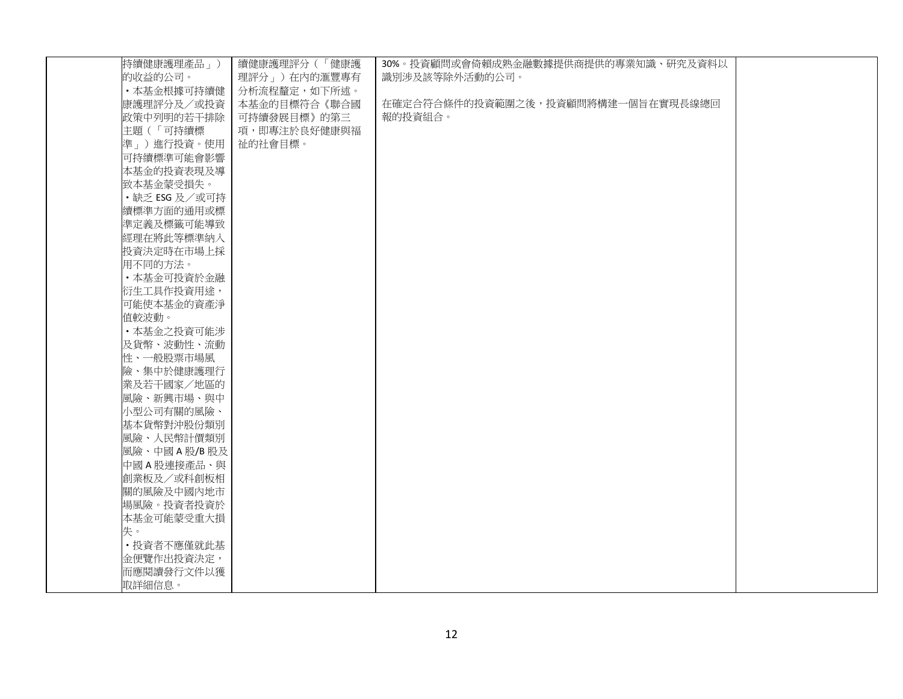| 持續健康護理產品」)    | 續健康護理評分(「健康護 | 30%。投資顧問或會倚賴成熟金融數據提供商提供的專業知識、研究及資料以 |  |
|---------------|--------------|-------------------------------------|--|
| 的收益的公司。       | 理評分」)在内的滙豐專有 | 識別涉及該等除外活動的公司。                      |  |
| •本基金根據可持續健    | 分析流程釐定,如下所述。 |                                     |  |
| 康護理評分及/或投資    | 本基金的目標符合《聯合國 | 在確定合符合條件的投資範圍之後,投資顧問將構建一個旨在實現長線總回   |  |
| 政策中列明的若干排除    | 可持續發展目標》的第三  | 報的投資組合。                             |  |
| 主題 (「可持續標     | 項,即專注於良好健康與福 |                                     |  |
| 準」)進行投資。使用    | 祉的社會目標。      |                                     |  |
| 可持續標準可能會影響    |              |                                     |  |
| 本基金的投資表現及導    |              |                                     |  |
| 致本基金蒙受損失。     |              |                                     |  |
| ·缺乏 ESG 及/或可持 |              |                                     |  |
| 續標準方面的通用或標    |              |                                     |  |
| 準定義及標籤可能導致    |              |                                     |  |
| 經理在將此等標準納入    |              |                                     |  |
| 投資決定時在市場上採    |              |                                     |  |
| 用不同的方法。       |              |                                     |  |
| ·本基金可投資於金融    |              |                                     |  |
| 衍生工具作投資用途,    |              |                                     |  |
| 可能使本基金的資產淨    |              |                                     |  |
| 值較波動。         |              |                                     |  |
| ·本基金之投資可能涉    |              |                                     |  |
| 及貨幣、波動性、流動    |              |                                     |  |
| 性、一般股票市場風     |              |                                     |  |
| 險、集中於健康護理行    |              |                                     |  |
| 業及若干國家/地區的    |              |                                     |  |
| 風險、新興市場、與中    |              |                                     |  |
| 小型公司有關的風險、    |              |                                     |  |
| 基本貨幣對沖股份類別    |              |                                     |  |
| 風險、人民幣計價類別    |              |                                     |  |
| 風險、中國A股/B股及   |              |                                     |  |
| 中國A股連接產品、與    |              |                                     |  |
| 創業板及/或科創板相    |              |                                     |  |
| 關的風險及中國內地市    |              |                                     |  |
| 場風險。投資者投資於    |              |                                     |  |
| 本基金可能蒙受重大損    |              |                                     |  |
| 失。            |              |                                     |  |
| • 投資者不應僅就此基   |              |                                     |  |
| 金便覽作出投資決定,    |              |                                     |  |
| 而應閱讀發行文件以獲    |              |                                     |  |
| 取詳細信息。        |              |                                     |  |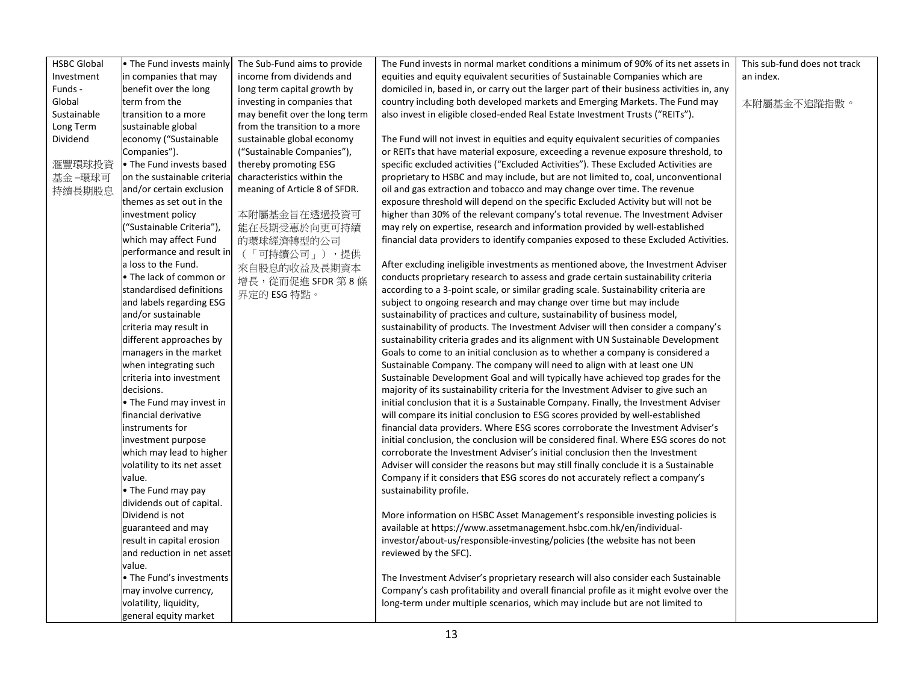| <b>HSBC Global</b><br>This sub-fund does not track<br>• The Fund invests mainly<br>The Sub-Fund aims to provide<br>The Fund invests in normal market conditions a minimum of 90% of its net assets in<br>income from dividends and<br>equities and equity equivalent securities of Sustainable Companies which are<br>Investment<br>in companies that may<br>an index.<br>Funds -<br>benefit over the long<br>long term capital growth by<br>domiciled in, based in, or carry out the larger part of their business activities in, any<br>Global<br>term from the<br>country including both developed markets and Emerging Markets. The Fund may<br>investing in companies that<br>本附屬基金不追蹤指數。<br>Sustainable<br>may benefit over the long term<br>transition to a more<br>also invest in eligible closed-ended Real Estate Investment Trusts ("REITs").<br>Long Term<br>sustainable global<br>from the transition to a more<br>Dividend<br>economy ("Sustainable<br>sustainable global economy<br>The Fund will not invest in equities and equity equivalent securities of companies<br>("Sustainable Companies"),<br>or REITs that have material exposure, exceeding a revenue exposure threshold, to<br>Companies").<br>滙豐環球投資<br>• The Fund invests based<br>thereby promoting ESG<br>specific excluded activities ("Excluded Activities"). These Excluded Activities are<br>on the sustainable criteria<br>characteristics within the<br>proprietary to HSBC and may include, but are not limited to, coal, unconventional<br>基金 -環球可<br>and/or certain exclusion<br>meaning of Article 8 of SFDR.<br>oil and gas extraction and tobacco and may change over time. The revenue<br>持續長期股息<br>themes as set out in the<br>exposure threshold will depend on the specific Excluded Activity but will not be<br>本附屬基金旨在透過投資可<br>higher than 30% of the relevant company's total revenue. The Investment Adviser<br>investment policy |
|---------------------------------------------------------------------------------------------------------------------------------------------------------------------------------------------------------------------------------------------------------------------------------------------------------------------------------------------------------------------------------------------------------------------------------------------------------------------------------------------------------------------------------------------------------------------------------------------------------------------------------------------------------------------------------------------------------------------------------------------------------------------------------------------------------------------------------------------------------------------------------------------------------------------------------------------------------------------------------------------------------------------------------------------------------------------------------------------------------------------------------------------------------------------------------------------------------------------------------------------------------------------------------------------------------------------------------------------------------------------------------------------------------------------------------------------------------------------------------------------------------------------------------------------------------------------------------------------------------------------------------------------------------------------------------------------------------------------------------------------------------------------------------------------------------------------------------------------------------------------------------------------------------------------------------------|
|                                                                                                                                                                                                                                                                                                                                                                                                                                                                                                                                                                                                                                                                                                                                                                                                                                                                                                                                                                                                                                                                                                                                                                                                                                                                                                                                                                                                                                                                                                                                                                                                                                                                                                                                                                                                                                                                                                                                       |
|                                                                                                                                                                                                                                                                                                                                                                                                                                                                                                                                                                                                                                                                                                                                                                                                                                                                                                                                                                                                                                                                                                                                                                                                                                                                                                                                                                                                                                                                                                                                                                                                                                                                                                                                                                                                                                                                                                                                       |
|                                                                                                                                                                                                                                                                                                                                                                                                                                                                                                                                                                                                                                                                                                                                                                                                                                                                                                                                                                                                                                                                                                                                                                                                                                                                                                                                                                                                                                                                                                                                                                                                                                                                                                                                                                                                                                                                                                                                       |
|                                                                                                                                                                                                                                                                                                                                                                                                                                                                                                                                                                                                                                                                                                                                                                                                                                                                                                                                                                                                                                                                                                                                                                                                                                                                                                                                                                                                                                                                                                                                                                                                                                                                                                                                                                                                                                                                                                                                       |
|                                                                                                                                                                                                                                                                                                                                                                                                                                                                                                                                                                                                                                                                                                                                                                                                                                                                                                                                                                                                                                                                                                                                                                                                                                                                                                                                                                                                                                                                                                                                                                                                                                                                                                                                                                                                                                                                                                                                       |
|                                                                                                                                                                                                                                                                                                                                                                                                                                                                                                                                                                                                                                                                                                                                                                                                                                                                                                                                                                                                                                                                                                                                                                                                                                                                                                                                                                                                                                                                                                                                                                                                                                                                                                                                                                                                                                                                                                                                       |
|                                                                                                                                                                                                                                                                                                                                                                                                                                                                                                                                                                                                                                                                                                                                                                                                                                                                                                                                                                                                                                                                                                                                                                                                                                                                                                                                                                                                                                                                                                                                                                                                                                                                                                                                                                                                                                                                                                                                       |
|                                                                                                                                                                                                                                                                                                                                                                                                                                                                                                                                                                                                                                                                                                                                                                                                                                                                                                                                                                                                                                                                                                                                                                                                                                                                                                                                                                                                                                                                                                                                                                                                                                                                                                                                                                                                                                                                                                                                       |
|                                                                                                                                                                                                                                                                                                                                                                                                                                                                                                                                                                                                                                                                                                                                                                                                                                                                                                                                                                                                                                                                                                                                                                                                                                                                                                                                                                                                                                                                                                                                                                                                                                                                                                                                                                                                                                                                                                                                       |
|                                                                                                                                                                                                                                                                                                                                                                                                                                                                                                                                                                                                                                                                                                                                                                                                                                                                                                                                                                                                                                                                                                                                                                                                                                                                                                                                                                                                                                                                                                                                                                                                                                                                                                                                                                                                                                                                                                                                       |
|                                                                                                                                                                                                                                                                                                                                                                                                                                                                                                                                                                                                                                                                                                                                                                                                                                                                                                                                                                                                                                                                                                                                                                                                                                                                                                                                                                                                                                                                                                                                                                                                                                                                                                                                                                                                                                                                                                                                       |
|                                                                                                                                                                                                                                                                                                                                                                                                                                                                                                                                                                                                                                                                                                                                                                                                                                                                                                                                                                                                                                                                                                                                                                                                                                                                                                                                                                                                                                                                                                                                                                                                                                                                                                                                                                                                                                                                                                                                       |
|                                                                                                                                                                                                                                                                                                                                                                                                                                                                                                                                                                                                                                                                                                                                                                                                                                                                                                                                                                                                                                                                                                                                                                                                                                                                                                                                                                                                                                                                                                                                                                                                                                                                                                                                                                                                                                                                                                                                       |
| may rely on expertise, research and information provided by well-established<br>"Sustainable Criteria"),<br>能在長期受惠於向更可持續                                                                                                                                                                                                                                                                                                                                                                                                                                                                                                                                                                                                                                                                                                                                                                                                                                                                                                                                                                                                                                                                                                                                                                                                                                                                                                                                                                                                                                                                                                                                                                                                                                                                                                                                                                                                              |
| which may affect Fund<br>financial data providers to identify companies exposed to these Excluded Activities.<br>的環球經濟轉型的公司                                                                                                                                                                                                                                                                                                                                                                                                                                                                                                                                                                                                                                                                                                                                                                                                                                                                                                                                                                                                                                                                                                                                                                                                                                                                                                                                                                                                                                                                                                                                                                                                                                                                                                                                                                                                           |
| performance and result in<br>(「可持續公司」),提供                                                                                                                                                                                                                                                                                                                                                                                                                                                                                                                                                                                                                                                                                                                                                                                                                                                                                                                                                                                                                                                                                                                                                                                                                                                                                                                                                                                                                                                                                                                                                                                                                                                                                                                                                                                                                                                                                             |
| a loss to the Fund.<br>After excluding ineligible investments as mentioned above, the Investment Adviser<br>來自股息的收益及長期資本                                                                                                                                                                                                                                                                                                                                                                                                                                                                                                                                                                                                                                                                                                                                                                                                                                                                                                                                                                                                                                                                                                                                                                                                                                                                                                                                                                                                                                                                                                                                                                                                                                                                                                                                                                                                              |
| • The lack of common or<br>conducts proprietary research to assess and grade certain sustainability criteria<br>增長,從而促進 SFDR 第8條                                                                                                                                                                                                                                                                                                                                                                                                                                                                                                                                                                                                                                                                                                                                                                                                                                                                                                                                                                                                                                                                                                                                                                                                                                                                                                                                                                                                                                                                                                                                                                                                                                                                                                                                                                                                      |
| standardised definitions<br>according to a 3-point scale, or similar grading scale. Sustainability criteria are<br>界定的 ESG 特點。                                                                                                                                                                                                                                                                                                                                                                                                                                                                                                                                                                                                                                                                                                                                                                                                                                                                                                                                                                                                                                                                                                                                                                                                                                                                                                                                                                                                                                                                                                                                                                                                                                                                                                                                                                                                        |
| and labels regarding ESG<br>subject to ongoing research and may change over time but may include                                                                                                                                                                                                                                                                                                                                                                                                                                                                                                                                                                                                                                                                                                                                                                                                                                                                                                                                                                                                                                                                                                                                                                                                                                                                                                                                                                                                                                                                                                                                                                                                                                                                                                                                                                                                                                      |
| and/or sustainable<br>sustainability of practices and culture, sustainability of business model,                                                                                                                                                                                                                                                                                                                                                                                                                                                                                                                                                                                                                                                                                                                                                                                                                                                                                                                                                                                                                                                                                                                                                                                                                                                                                                                                                                                                                                                                                                                                                                                                                                                                                                                                                                                                                                      |
| criteria may result in<br>sustainability of products. The Investment Adviser will then consider a company's                                                                                                                                                                                                                                                                                                                                                                                                                                                                                                                                                                                                                                                                                                                                                                                                                                                                                                                                                                                                                                                                                                                                                                                                                                                                                                                                                                                                                                                                                                                                                                                                                                                                                                                                                                                                                           |
| different approaches by<br>sustainability criteria grades and its alignment with UN Sustainable Development                                                                                                                                                                                                                                                                                                                                                                                                                                                                                                                                                                                                                                                                                                                                                                                                                                                                                                                                                                                                                                                                                                                                                                                                                                                                                                                                                                                                                                                                                                                                                                                                                                                                                                                                                                                                                           |
| managers in the market<br>Goals to come to an initial conclusion as to whether a company is considered a                                                                                                                                                                                                                                                                                                                                                                                                                                                                                                                                                                                                                                                                                                                                                                                                                                                                                                                                                                                                                                                                                                                                                                                                                                                                                                                                                                                                                                                                                                                                                                                                                                                                                                                                                                                                                              |
| when integrating such<br>Sustainable Company. The company will need to align with at least one UN                                                                                                                                                                                                                                                                                                                                                                                                                                                                                                                                                                                                                                                                                                                                                                                                                                                                                                                                                                                                                                                                                                                                                                                                                                                                                                                                                                                                                                                                                                                                                                                                                                                                                                                                                                                                                                     |
| criteria into investment<br>Sustainable Development Goal and will typically have achieved top grades for the                                                                                                                                                                                                                                                                                                                                                                                                                                                                                                                                                                                                                                                                                                                                                                                                                                                                                                                                                                                                                                                                                                                                                                                                                                                                                                                                                                                                                                                                                                                                                                                                                                                                                                                                                                                                                          |
| decisions.<br>majority of its sustainability criteria for the Investment Adviser to give such an                                                                                                                                                                                                                                                                                                                                                                                                                                                                                                                                                                                                                                                                                                                                                                                                                                                                                                                                                                                                                                                                                                                                                                                                                                                                                                                                                                                                                                                                                                                                                                                                                                                                                                                                                                                                                                      |
| . The Fund may invest in<br>initial conclusion that it is a Sustainable Company. Finally, the Investment Adviser                                                                                                                                                                                                                                                                                                                                                                                                                                                                                                                                                                                                                                                                                                                                                                                                                                                                                                                                                                                                                                                                                                                                                                                                                                                                                                                                                                                                                                                                                                                                                                                                                                                                                                                                                                                                                      |
| financial derivative<br>will compare its initial conclusion to ESG scores provided by well-established                                                                                                                                                                                                                                                                                                                                                                                                                                                                                                                                                                                                                                                                                                                                                                                                                                                                                                                                                                                                                                                                                                                                                                                                                                                                                                                                                                                                                                                                                                                                                                                                                                                                                                                                                                                                                                |
| instruments for<br>financial data providers. Where ESG scores corroborate the Investment Adviser's                                                                                                                                                                                                                                                                                                                                                                                                                                                                                                                                                                                                                                                                                                                                                                                                                                                                                                                                                                                                                                                                                                                                                                                                                                                                                                                                                                                                                                                                                                                                                                                                                                                                                                                                                                                                                                    |
| initial conclusion, the conclusion will be considered final. Where ESG scores do not<br>investment purpose                                                                                                                                                                                                                                                                                                                                                                                                                                                                                                                                                                                                                                                                                                                                                                                                                                                                                                                                                                                                                                                                                                                                                                                                                                                                                                                                                                                                                                                                                                                                                                                                                                                                                                                                                                                                                            |
| which may lead to higher<br>corroborate the Investment Adviser's initial conclusion then the Investment                                                                                                                                                                                                                                                                                                                                                                                                                                                                                                                                                                                                                                                                                                                                                                                                                                                                                                                                                                                                                                                                                                                                                                                                                                                                                                                                                                                                                                                                                                                                                                                                                                                                                                                                                                                                                               |
| volatility to its net asset<br>Adviser will consider the reasons but may still finally conclude it is a Sustainable                                                                                                                                                                                                                                                                                                                                                                                                                                                                                                                                                                                                                                                                                                                                                                                                                                                                                                                                                                                                                                                                                                                                                                                                                                                                                                                                                                                                                                                                                                                                                                                                                                                                                                                                                                                                                   |
| value.<br>Company if it considers that ESG scores do not accurately reflect a company's                                                                                                                                                                                                                                                                                                                                                                                                                                                                                                                                                                                                                                                                                                                                                                                                                                                                                                                                                                                                                                                                                                                                                                                                                                                                                                                                                                                                                                                                                                                                                                                                                                                                                                                                                                                                                                               |
| • The Fund may pay<br>sustainability profile.                                                                                                                                                                                                                                                                                                                                                                                                                                                                                                                                                                                                                                                                                                                                                                                                                                                                                                                                                                                                                                                                                                                                                                                                                                                                                                                                                                                                                                                                                                                                                                                                                                                                                                                                                                                                                                                                                         |
| dividends out of capital.                                                                                                                                                                                                                                                                                                                                                                                                                                                                                                                                                                                                                                                                                                                                                                                                                                                                                                                                                                                                                                                                                                                                                                                                                                                                                                                                                                                                                                                                                                                                                                                                                                                                                                                                                                                                                                                                                                             |
| Dividend is not<br>More information on HSBC Asset Management's responsible investing policies is                                                                                                                                                                                                                                                                                                                                                                                                                                                                                                                                                                                                                                                                                                                                                                                                                                                                                                                                                                                                                                                                                                                                                                                                                                                                                                                                                                                                                                                                                                                                                                                                                                                                                                                                                                                                                                      |
| available at https://www.assetmanagement.hsbc.com.hk/en/individual-<br>guaranteed and may                                                                                                                                                                                                                                                                                                                                                                                                                                                                                                                                                                                                                                                                                                                                                                                                                                                                                                                                                                                                                                                                                                                                                                                                                                                                                                                                                                                                                                                                                                                                                                                                                                                                                                                                                                                                                                             |
| investor/about-us/responsible-investing/policies (the website has not been<br>result in capital erosion                                                                                                                                                                                                                                                                                                                                                                                                                                                                                                                                                                                                                                                                                                                                                                                                                                                                                                                                                                                                                                                                                                                                                                                                                                                                                                                                                                                                                                                                                                                                                                                                                                                                                                                                                                                                                               |
| and reduction in net asset<br>reviewed by the SFC).                                                                                                                                                                                                                                                                                                                                                                                                                                                                                                                                                                                                                                                                                                                                                                                                                                                                                                                                                                                                                                                                                                                                                                                                                                                                                                                                                                                                                                                                                                                                                                                                                                                                                                                                                                                                                                                                                   |
| value.                                                                                                                                                                                                                                                                                                                                                                                                                                                                                                                                                                                                                                                                                                                                                                                                                                                                                                                                                                                                                                                                                                                                                                                                                                                                                                                                                                                                                                                                                                                                                                                                                                                                                                                                                                                                                                                                                                                                |
| • The Fund's investments<br>The Investment Adviser's proprietary research will also consider each Sustainable                                                                                                                                                                                                                                                                                                                                                                                                                                                                                                                                                                                                                                                                                                                                                                                                                                                                                                                                                                                                                                                                                                                                                                                                                                                                                                                                                                                                                                                                                                                                                                                                                                                                                                                                                                                                                         |
| Company's cash profitability and overall financial profile as it might evolve over the<br>may involve currency,                                                                                                                                                                                                                                                                                                                                                                                                                                                                                                                                                                                                                                                                                                                                                                                                                                                                                                                                                                                                                                                                                                                                                                                                                                                                                                                                                                                                                                                                                                                                                                                                                                                                                                                                                                                                                       |
| long-term under multiple scenarios, which may include but are not limited to<br>volatility, liquidity,                                                                                                                                                                                                                                                                                                                                                                                                                                                                                                                                                                                                                                                                                                                                                                                                                                                                                                                                                                                                                                                                                                                                                                                                                                                                                                                                                                                                                                                                                                                                                                                                                                                                                                                                                                                                                                |
| general equity market                                                                                                                                                                                                                                                                                                                                                                                                                                                                                                                                                                                                                                                                                                                                                                                                                                                                                                                                                                                                                                                                                                                                                                                                                                                                                                                                                                                                                                                                                                                                                                                                                                                                                                                                                                                                                                                                                                                 |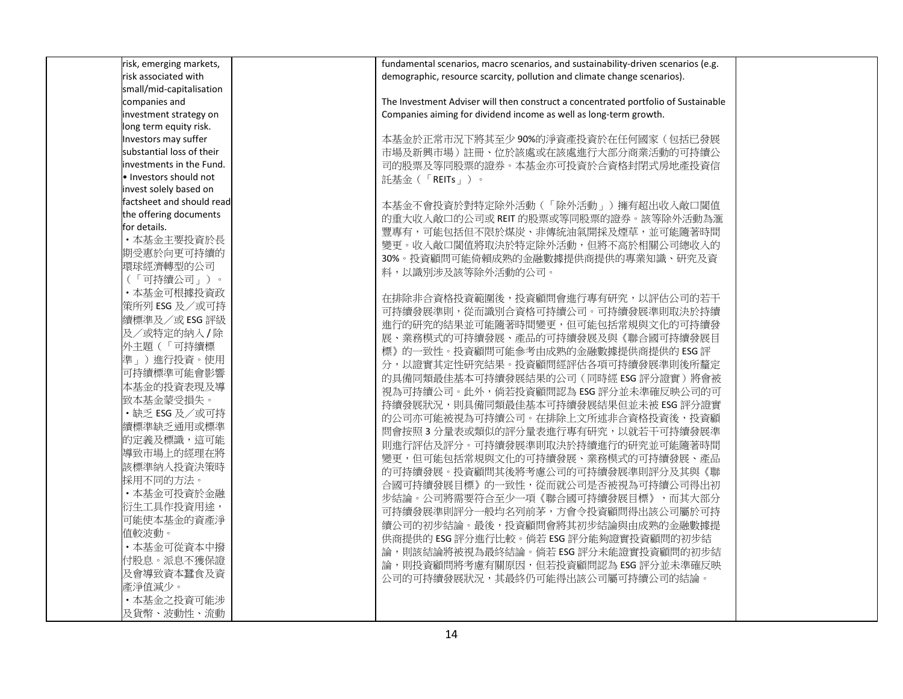| risk, emerging markets,   |
|---------------------------|
| risk associated with      |
| small/mid-capitalisation  |
| companies and             |
| investment strategy on    |
| long term equity risk.    |
| Investors may suffer      |
| substantial loss of their |
| investments in the Fund.  |
| · Investors should not    |
| invest solely based on    |
| factsheet and should read |
| the offering documents    |
| for details.              |
| ·本基金主要投資於長                |
| 期受惠於向更可持續的                |
| 環球經濟轉型的公司                 |
| (「可持續公司」)。                |
| ・本基金可根據投資政                |
| 策所列 ESG 及/或可持             |
| 續標準及/或ESG評級               |
| 及/或特定的納入/除                |
| 外主題(「可持續標                 |
| 準」)進行投資。使用                |
| 可持續標準可能會影響                |
| 本基金的投資表現及導                |
| 致本基金蒙受損失。                 |
| · 缺乏 ESG 及/或可持            |
| 續標準缺乏通用或標準                |
| 的定義及標識,這可能                |
| 導致市場上的經理在將                |
| 該標準納入投資決策時                |
| 採用不同的方法。                  |
| ·本基金可投資於金融                |
| 衍生工具作投資用途,                |
| 可能使本基金的資產淨                |
| 值較波動。                     |
| ·本基金可從資本中撥                |
| 付股息。派息不獲保證                |
|                           |
| 及會導致資本蠶食及資                |
| 產淨值減少。                    |
| · 本基金之投資可能涉               |
| 及貨幣、波動性、流動                |

fundamental scenarios, macro scenarios, and sustainability-driven scenarios (e.g. demographic, resource scarcity, pollution and climate change scenarios).

The Investment Adviser will then construct a concentrated portfolio of Sustainable Companies aiming for dividend income as well as long-term growth.

本基金於正常市況下將其至少 90%的淨資產投資於在任何國家(包括已發展 市場及新興市場)註冊、位於該處或在該處進行大部分商業活動的可持續公 司的股票及等同股票的證券。本基金亦可投資於合資格封閉式房地產投資信 託 基 金 ( 「REITs 」 ) 。

本基金不會投資於對特定除外活動(「除外活動」)擁有超出收入敞口閾值 的重大收入敞口的公司或 REIT 的股票或等同股票的證券。該等除外活動為滙 豐專有,可能包括但不限於煤炭、非傳統油氣開採及煙草,並可能隨著時間 變更。收入敞口閾值將取決於特定除外活動,但將不高於相關公司總收入的 30%。投資顧問可能倚賴成熟的金融數據提供商提供的專業知識、研究及資 料,以識別涉及該等除外活動的公司。

在排除非合資格投資範圍後,投資顧問會進行專有研究,以評估公司的若干 可持續發展準則,從而識別合資格可持續公司。可持續發展準則取決於持續 進行的研究的結果並可能隨著時間變更,但可能包括常規與文化的可持續發 展、業務模式的可持續發展、產品的可持續發展及與《聯合國可持續發展目 標》的一致性。投資顧問可能參考由成熟的金融數據提供商提供的 ESG 評 分,以證實其定性研究結果。投資顧問經評估各項可持續發展準則後所釐定 的具備同類最佳基本可持續發展結果的公司 ( 同時經 ESG 評分證實 ) 將會被 視為可持續公司。此外,倘若投資顧問認為 ESG 評分並未準確反映公司的可 持續發展狀況,則具備同類最佳基本可持續發展結果但並未被 ESG 評分證實 的公司亦可能被視為可持續公司。在排除上文所述非合資格投資後,投資顧 問會按照 3 分量表或類似的評分量表進行專有研究,以就若干可持續發展準 則進行評估及評分。可持續發展準則取決於持續進行的研究並可能隨著時間 變更,但可能包括常規與文化的可持續發展、業務模式的可持續發展、產品 的可持續發展。投資顧問其後將考慮公司的可持續發展準則評分及其與《聯 合國可持續發展目標》 的一致性,從而就公司是否被視為可持續公司得出初 步結論。公司將需要符合至少一項《聯合國可持續發展目標》,而其大部分 可持續發展準則評分一般均名列前茅,方會令投資顧問得出該公司屬於可持 續公司的初步結論。最後,投資顧問會將其初步結論與由成熟的金融數據提 供商提供的 ESG 評分進行比較。倘若 ESG 評分能夠證實投資顧問的初步結 論,則該結論將被視為最終結論。倘若 ESG 評分未能證實投資顧問的初步結 論,則投資顧問將考慮有關原因,但若投資顧問認為 ESG 評分並未準確反映 公司的可持續發展狀況,其最終仍可能得出該公司屬可持續公司的結論。